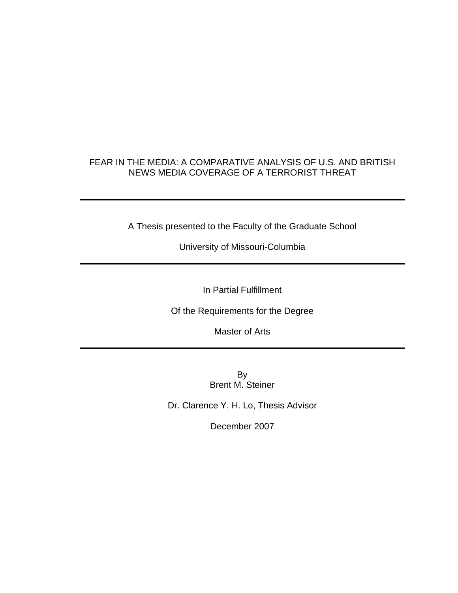## FEAR IN THE MEDIA: A COMPARATIVE ANALYSIS OF U.S. AND BRITISH NEWS MEDIA COVERAGE OF A TERRORIST THREAT

A Thesis presented to the Faculty of the Graduate School

University of Missouri-Columbia

In Partial Fulfillment

Of the Requirements for the Degree

Master of Arts

By Brent M. Steiner

Dr. Clarence Y. H. Lo, Thesis Advisor

December 2007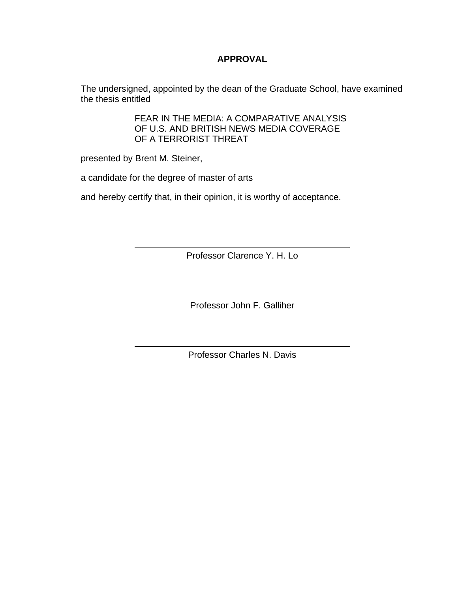### **APPROVAL**

The undersigned, appointed by the dean of the Graduate School, have examined the thesis entitled

> FEAR IN THE MEDIA: A COMPARATIVE ANALYSIS OF U.S. AND BRITISH NEWS MEDIA COVERAGE OF A TERRORIST THREAT

presented by Brent M. Steiner,

a candidate for the degree of master of arts

and hereby certify that, in their opinion, it is worthy of acceptance.

Professor Clarence Y. H. Lo

Professor John F. Galliher

Professor Charles N. Davis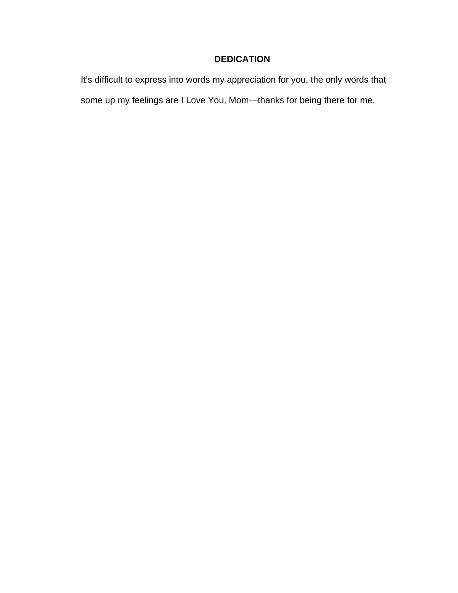## **DEDICATION**

It's difficult to express into words my appreciation for you, the only words that some up my feelings are I Love You, Mom—thanks for being there for me.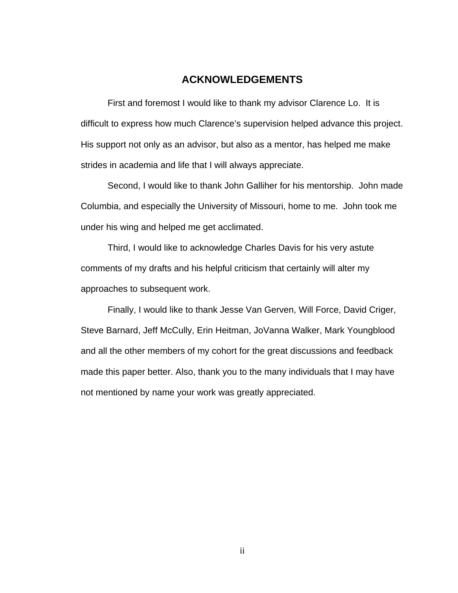### **ACKNOWLEDGEMENTS**

First and foremost I would like to thank my advisor Clarence Lo. It is difficult to express how much Clarence's supervision helped advance this project. His support not only as an advisor, but also as a mentor, has helped me make strides in academia and life that I will always appreciate.

Second, I would like to thank John Galliher for his mentorship. John made Columbia, and especially the University of Missouri, home to me. John took me under his wing and helped me get acclimated.

Third, I would like to acknowledge Charles Davis for his very astute comments of my drafts and his helpful criticism that certainly will alter my approaches to subsequent work.

Finally, I would like to thank Jesse Van Gerven, Will Force, David Criger, Steve Barnard, Jeff McCully, Erin Heitman, JoVanna Walker, Mark Youngblood and all the other members of my cohort for the great discussions and feedback made this paper better. Also, thank you to the many individuals that I may have not mentioned by name your work was greatly appreciated.

ii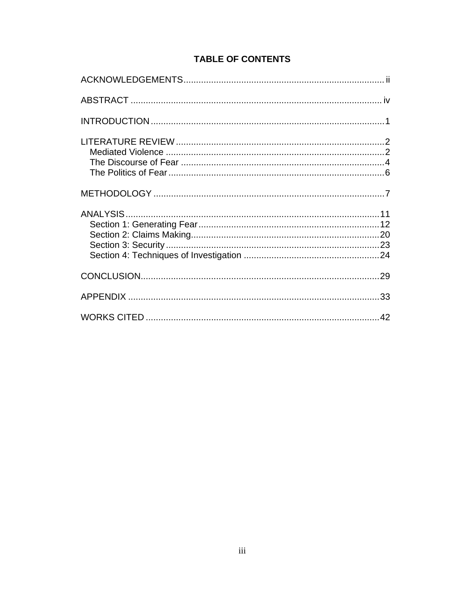## **TABLE OF CONTENTS**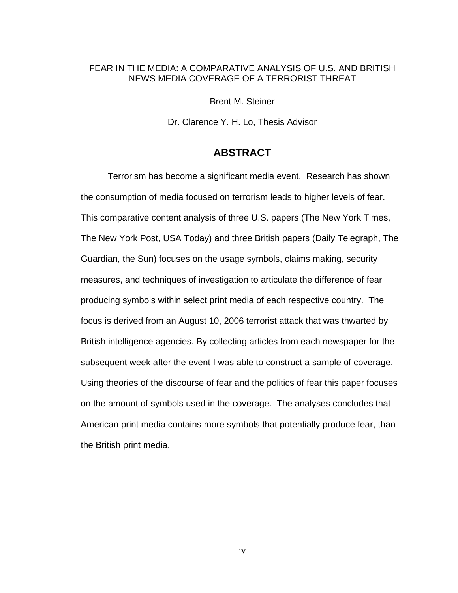### FEAR IN THE MEDIA: A COMPARATIVE ANALYSIS OF U.S. AND BRITISH NEWS MEDIA COVERAGE OF A TERRORIST THREAT

Brent M. Steiner

Dr. Clarence Y. H. Lo, Thesis Advisor

### **ABSTRACT**

Terrorism has become a significant media event. Research has shown the consumption of media focused on terrorism leads to higher levels of fear. This comparative content analysis of three U.S. papers (The New York Times, The New York Post, USA Today) and three British papers (Daily Telegraph, The Guardian, the Sun) focuses on the usage symbols, claims making, security measures, and techniques of investigation to articulate the difference of fear producing symbols within select print media of each respective country. The focus is derived from an August 10, 2006 terrorist attack that was thwarted by British intelligence agencies. By collecting articles from each newspaper for the subsequent week after the event I was able to construct a sample of coverage. Using theories of the discourse of fear and the politics of fear this paper focuses on the amount of symbols used in the coverage. The analyses concludes that American print media contains more symbols that potentially produce fear, than the British print media.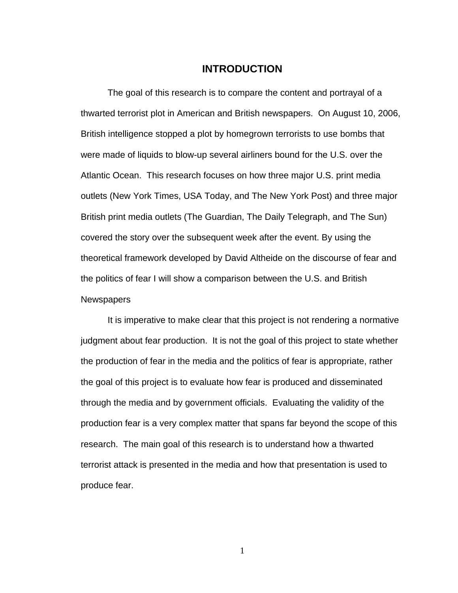### **INTRODUCTION**

The goal of this research is to compare the content and portrayal of a thwarted terrorist plot in American and British newspapers. On August 10, 2006, British intelligence stopped a plot by homegrown terrorists to use bombs that were made of liquids to blow-up several airliners bound for the U.S. over the Atlantic Ocean. This research focuses on how three major U.S. print media outlets (New York Times, USA Today, and The New York Post) and three major British print media outlets (The Guardian, The Daily Telegraph, and The Sun) covered the story over the subsequent week after the event. By using the theoretical framework developed by David Altheide on the discourse of fear and the politics of fear I will show a comparison between the U.S. and British **Newspapers** 

It is imperative to make clear that this project is not rendering a normative judgment about fear production. It is not the goal of this project to state whether the production of fear in the media and the politics of fear is appropriate, rather the goal of this project is to evaluate how fear is produced and disseminated through the media and by government officials. Evaluating the validity of the production fear is a very complex matter that spans far beyond the scope of this research. The main goal of this research is to understand how a thwarted terrorist attack is presented in the media and how that presentation is used to produce fear.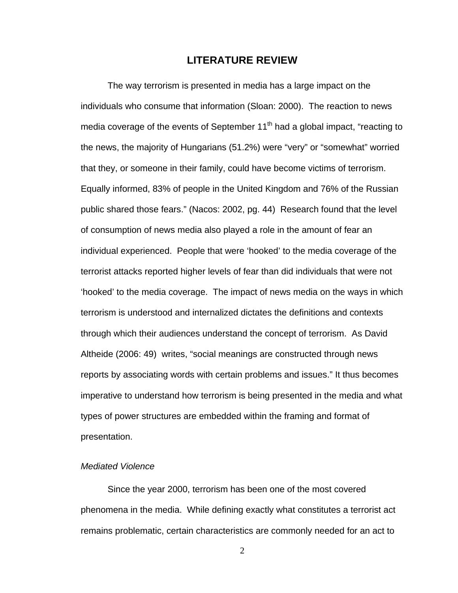### **LITERATURE REVIEW**

The way terrorism is presented in media has a large impact on the individuals who consume that information (Sloan: 2000). The reaction to news media coverage of the events of September  $11<sup>th</sup>$  had a global impact, "reacting to the news, the majority of Hungarians (51.2%) were "very" or "somewhat" worried that they, or someone in their family, could have become victims of terrorism. Equally informed, 83% of people in the United Kingdom and 76% of the Russian public shared those fears." (Nacos: 2002, pg. 44) Research found that the level of consumption of news media also played a role in the amount of fear an individual experienced. People that were 'hooked' to the media coverage of the terrorist attacks reported higher levels of fear than did individuals that were not 'hooked' to the media coverage. The impact of news media on the ways in which terrorism is understood and internalized dictates the definitions and contexts through which their audiences understand the concept of terrorism. As David Altheide (2006: 49) writes, "social meanings are constructed through news reports by associating words with certain problems and issues." It thus becomes imperative to understand how terrorism is being presented in the media and what types of power structures are embedded within the framing and format of presentation.

#### *Mediated Violence*

Since the year 2000, terrorism has been one of the most covered phenomena in the media. While defining exactly what constitutes a terrorist act remains problematic, certain characteristics are commonly needed for an act to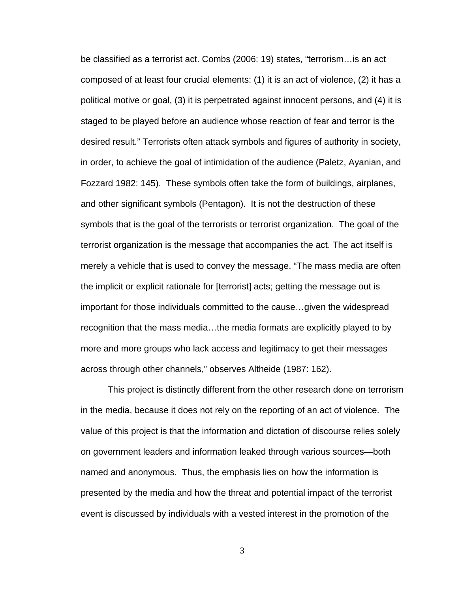be classified as a terrorist act. Combs (2006: 19) states, "terrorism…is an act composed of at least four crucial elements: (1) it is an act of violence, (2) it has a political motive or goal, (3) it is perpetrated against innocent persons, and (4) it is staged to be played before an audience whose reaction of fear and terror is the desired result." Terrorists often attack symbols and figures of authority in society, in order, to achieve the goal of intimidation of the audience (Paletz, Ayanian, and Fozzard 1982: 145). These symbols often take the form of buildings, airplanes, and other significant symbols (Pentagon). It is not the destruction of these symbols that is the goal of the terrorists or terrorist organization. The goal of the terrorist organization is the message that accompanies the act. The act itself is merely a vehicle that is used to convey the message. "The mass media are often the implicit or explicit rationale for [terrorist] acts; getting the message out is important for those individuals committed to the cause…given the widespread recognition that the mass media…the media formats are explicitly played to by more and more groups who lack access and legitimacy to get their messages across through other channels," observes Altheide (1987: 162).

This project is distinctly different from the other research done on terrorism in the media, because it does not rely on the reporting of an act of violence. The value of this project is that the information and dictation of discourse relies solely on government leaders and information leaked through various sources—both named and anonymous. Thus, the emphasis lies on how the information is presented by the media and how the threat and potential impact of the terrorist event is discussed by individuals with a vested interest in the promotion of the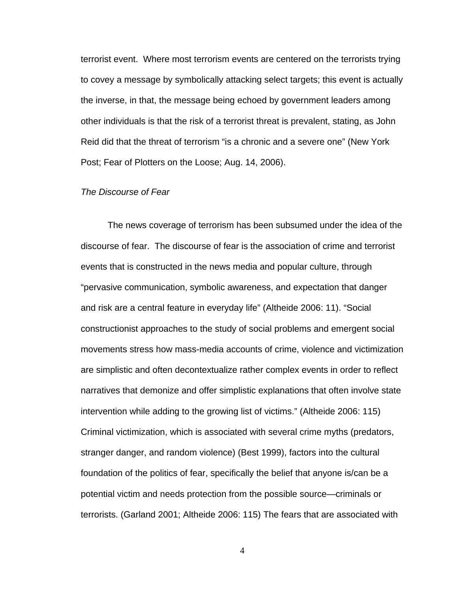terrorist event. Where most terrorism events are centered on the terrorists trying to covey a message by symbolically attacking select targets; this event is actually the inverse, in that, the message being echoed by government leaders among other individuals is that the risk of a terrorist threat is prevalent, stating, as John Reid did that the threat of terrorism "is a chronic and a severe one" (New York Post; Fear of Plotters on the Loose; Aug. 14, 2006).

#### *The Discourse of Fear*

The news coverage of terrorism has been subsumed under the idea of the discourse of fear. The discourse of fear is the association of crime and terrorist events that is constructed in the news media and popular culture, through "pervasive communication, symbolic awareness, and expectation that danger and risk are a central feature in everyday life" (Altheide 2006: 11). "Social constructionist approaches to the study of social problems and emergent social movements stress how mass-media accounts of crime, violence and victimization are simplistic and often decontextualize rather complex events in order to reflect narratives that demonize and offer simplistic explanations that often involve state intervention while adding to the growing list of victims." (Altheide 2006: 115) Criminal victimization, which is associated with several crime myths (predators, stranger danger, and random violence) (Best 1999), factors into the cultural foundation of the politics of fear, specifically the belief that anyone is/can be a potential victim and needs protection from the possible source—criminals or terrorists. (Garland 2001; Altheide 2006: 115) The fears that are associated with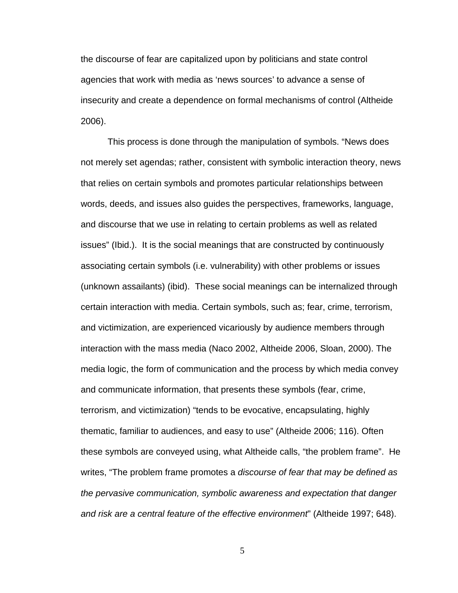the discourse of fear are capitalized upon by politicians and state control agencies that work with media as 'news sources' to advance a sense of insecurity and create a dependence on formal mechanisms of control (Altheide 2006).

This process is done through the manipulation of symbols. "News does not merely set agendas; rather, consistent with symbolic interaction theory, news that relies on certain symbols and promotes particular relationships between words, deeds, and issues also guides the perspectives, frameworks, language, and discourse that we use in relating to certain problems as well as related issues" (Ibid.). It is the social meanings that are constructed by continuously associating certain symbols (i.e. vulnerability) with other problems or issues (unknown assailants) (ibid). These social meanings can be internalized through certain interaction with media. Certain symbols, such as; fear, crime, terrorism, and victimization, are experienced vicariously by audience members through interaction with the mass media (Naco 2002, Altheide 2006, Sloan, 2000). The media logic, the form of communication and the process by which media convey and communicate information, that presents these symbols (fear, crime, terrorism, and victimization) "tends to be evocative, encapsulating, highly thematic, familiar to audiences, and easy to use" (Altheide 2006; 116). Often these symbols are conveyed using, what Altheide calls, "the problem frame". He writes, "The problem frame promotes a *discourse of fear that may be defined as the pervasive communication, symbolic awareness and expectation that danger and risk are a central feature of the effective environment*" (Altheide 1997; 648).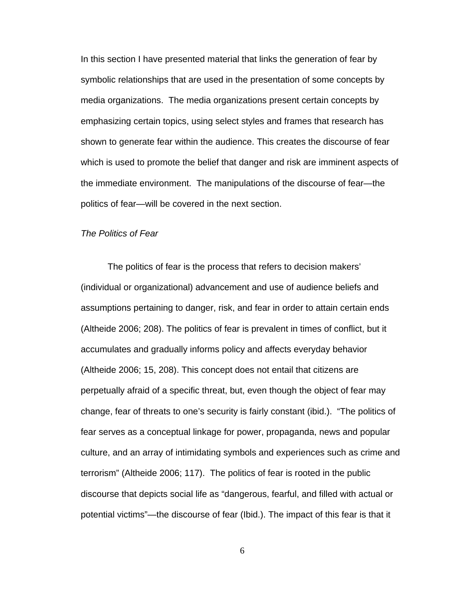In this section I have presented material that links the generation of fear by symbolic relationships that are used in the presentation of some concepts by media organizations. The media organizations present certain concepts by emphasizing certain topics, using select styles and frames that research has shown to generate fear within the audience. This creates the discourse of fear which is used to promote the belief that danger and risk are imminent aspects of the immediate environment. The manipulations of the discourse of fear—the politics of fear—will be covered in the next section.

#### *The Politics of Fear*

The politics of fear is the process that refers to decision makers' (individual or organizational) advancement and use of audience beliefs and assumptions pertaining to danger, risk, and fear in order to attain certain ends (Altheide 2006; 208). The politics of fear is prevalent in times of conflict, but it accumulates and gradually informs policy and affects everyday behavior (Altheide 2006; 15, 208). This concept does not entail that citizens are perpetually afraid of a specific threat, but, even though the object of fear may change, fear of threats to one's security is fairly constant (ibid.). "The politics of fear serves as a conceptual linkage for power, propaganda, news and popular culture, and an array of intimidating symbols and experiences such as crime and terrorism" (Altheide 2006; 117). The politics of fear is rooted in the public discourse that depicts social life as "dangerous, fearful, and filled with actual or potential victims"—the discourse of fear (Ibid.). The impact of this fear is that it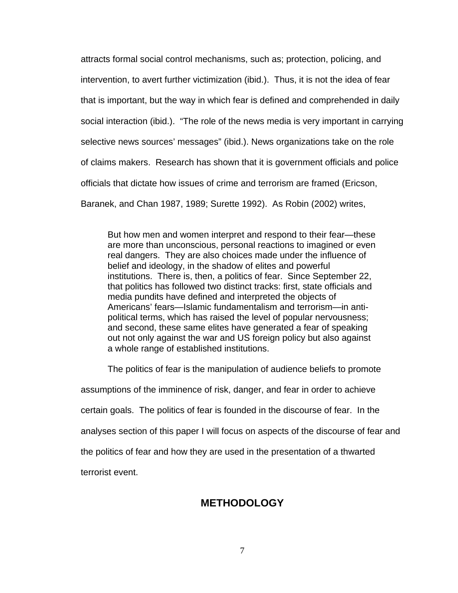attracts formal social control mechanisms, such as; protection, policing, and intervention, to avert further victimization (ibid.). Thus, it is not the idea of fear that is important, but the way in which fear is defined and comprehended in daily social interaction (ibid.). "The role of the news media is very important in carrying selective news sources' messages" (ibid.). News organizations take on the role of claims makers. Research has shown that it is government officials and police officials that dictate how issues of crime and terrorism are framed (Ericson, Baranek, and Chan 1987, 1989; Surette 1992). As Robin (2002) writes,

But how men and women interpret and respond to their fear—these are more than unconscious, personal reactions to imagined or even real dangers. They are also choices made under the influence of belief and ideology, in the shadow of elites and powerful institutions. There is, then, a politics of fear. Since September 22, that politics has followed two distinct tracks: first, state officials and media pundits have defined and interpreted the objects of Americans' fears—Islamic fundamentalism and terrorism—in antipolitical terms, which has raised the level of popular nervousness; and second, these same elites have generated a fear of speaking out not only against the war and US foreign policy but also against a whole range of established institutions.

The politics of fear is the manipulation of audience beliefs to promote

assumptions of the imminence of risk, danger, and fear in order to achieve certain goals. The politics of fear is founded in the discourse of fear. In the analyses section of this paper I will focus on aspects of the discourse of fear and the politics of fear and how they are used in the presentation of a thwarted terrorist event.

# **METHODOLOGY**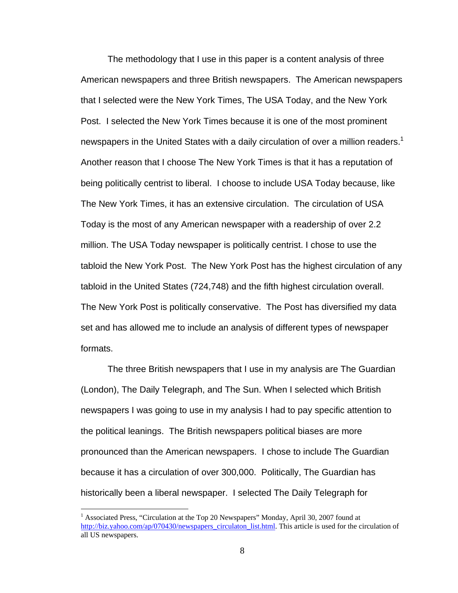The methodology that I use in this paper is a content analysis of three American newspapers and three British newspapers. The American newspapers that I selected were the New York Times, The USA Today, and the New York Post. I selected the New York Times because it is one of the most prominent newspapers in the United States with a daily circulation of over a million readers.<sup>1</sup> Another reason that I choose The New York Times is that it has a reputation of being politically centrist to liberal. I choose to include USA Today because, like The New York Times, it has an extensive circulation. The circulation of USA Today is the most of any American newspaper with a readership of over 2.2 million. The USA Today newspaper is politically centrist. I chose to use the tabloid the New York Post. The New York Post has the highest circulation of any tabloid in the United States (724,748) and the fifth highest circulation overall. The New York Post is politically conservative. The Post has diversified my data set and has allowed me to include an analysis of different types of newspaper formats.

The three British newspapers that I use in my analysis are The Guardian (London), The Daily Telegraph, and The Sun. When I selected which British newspapers I was going to use in my analysis I had to pay specific attention to the political leanings. The British newspapers political biases are more pronounced than the American newspapers. I chose to include The Guardian because it has a circulation of over 300,000. Politically, The Guardian has historically been a liberal newspaper. I selected The Daily Telegraph for

<sup>&</sup>lt;sup>1</sup> Associated Press, "Circulation at the Top 20 Newspapers" Monday, April 30, 2007 found at http://biz.yahoo.com/ap/070430/newspapers\_circulaton\_list.html. This article is used for the circulation of all US newspapers.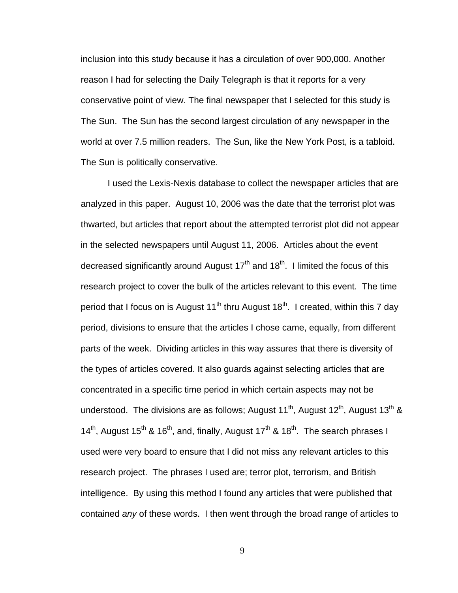inclusion into this study because it has a circulation of over 900,000. Another reason I had for selecting the Daily Telegraph is that it reports for a very conservative point of view. The final newspaper that I selected for this study is The Sun. The Sun has the second largest circulation of any newspaper in the world at over 7.5 million readers. The Sun, like the New York Post, is a tabloid. The Sun is politically conservative.

I used the Lexis-Nexis database to collect the newspaper articles that are analyzed in this paper. August 10, 2006 was the date that the terrorist plot was thwarted, but articles that report about the attempted terrorist plot did not appear in the selected newspapers until August 11, 2006. Articles about the event decreased significantly around August  $17<sup>th</sup>$  and  $18<sup>th</sup>$ . I limited the focus of this research project to cover the bulk of the articles relevant to this event. The time period that I focus on is August  $11<sup>th</sup>$  thru August  $18<sup>th</sup>$ . I created, within this 7 day period, divisions to ensure that the articles I chose came, equally, from different parts of the week. Dividing articles in this way assures that there is diversity of the types of articles covered. It also guards against selecting articles that are concentrated in a specific time period in which certain aspects may not be understood. The divisions are as follows; August 11<sup>th</sup>, August 12<sup>th</sup>, August 13<sup>th</sup> & 14<sup>th</sup>, August 15<sup>th</sup> & 16<sup>th</sup>, and, finally, August 17<sup>th</sup> & 18<sup>th</sup>. The search phrases I used were very board to ensure that I did not miss any relevant articles to this research project. The phrases I used are; terror plot, terrorism, and British intelligence. By using this method I found any articles that were published that contained *any* of these words. I then went through the broad range of articles to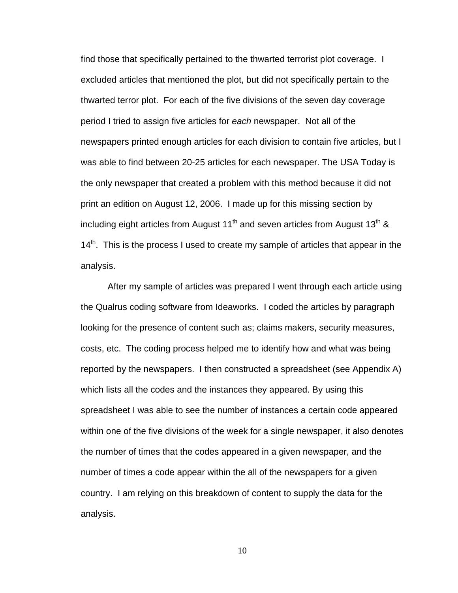find those that specifically pertained to the thwarted terrorist plot coverage. I excluded articles that mentioned the plot, but did not specifically pertain to the thwarted terror plot. For each of the five divisions of the seven day coverage period I tried to assign five articles for *each* newspaper. Not all of the newspapers printed enough articles for each division to contain five articles, but I was able to find between 20-25 articles for each newspaper. The USA Today is the only newspaper that created a problem with this method because it did not print an edition on August 12, 2006. I made up for this missing section by including eight articles from August  $11<sup>th</sup>$  and seven articles from August  $13<sup>th</sup>$  &  $14<sup>th</sup>$ . This is the process I used to create my sample of articles that appear in the analysis.

After my sample of articles was prepared I went through each article using the Qualrus coding software from Ideaworks. I coded the articles by paragraph looking for the presence of content such as; claims makers, security measures, costs, etc. The coding process helped me to identify how and what was being reported by the newspapers. I then constructed a spreadsheet (see Appendix A) which lists all the codes and the instances they appeared. By using this spreadsheet I was able to see the number of instances a certain code appeared within one of the five divisions of the week for a single newspaper, it also denotes the number of times that the codes appeared in a given newspaper, and the number of times a code appear within the all of the newspapers for a given country. I am relying on this breakdown of content to supply the data for the analysis.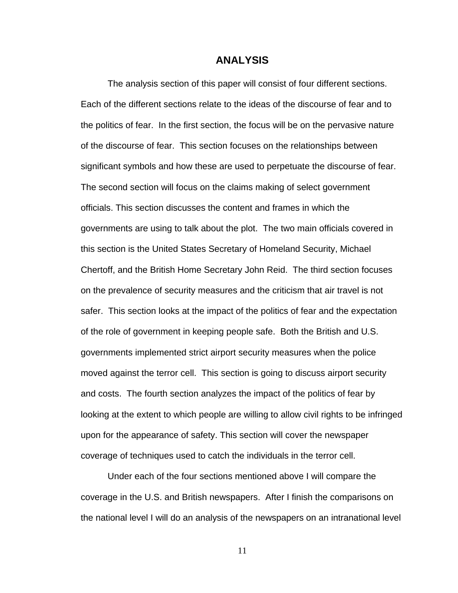#### **ANALYSIS**

The analysis section of this paper will consist of four different sections. Each of the different sections relate to the ideas of the discourse of fear and to the politics of fear. In the first section, the focus will be on the pervasive nature of the discourse of fear. This section focuses on the relationships between significant symbols and how these are used to perpetuate the discourse of fear. The second section will focus on the claims making of select government officials. This section discusses the content and frames in which the governments are using to talk about the plot. The two main officials covered in this section is the United States Secretary of Homeland Security, Michael Chertoff, and the British Home Secretary John Reid. The third section focuses on the prevalence of security measures and the criticism that air travel is not safer. This section looks at the impact of the politics of fear and the expectation of the role of government in keeping people safe. Both the British and U.S. governments implemented strict airport security measures when the police moved against the terror cell. This section is going to discuss airport security and costs. The fourth section analyzes the impact of the politics of fear by looking at the extent to which people are willing to allow civil rights to be infringed upon for the appearance of safety. This section will cover the newspaper coverage of techniques used to catch the individuals in the terror cell.

Under each of the four sections mentioned above I will compare the coverage in the U.S. and British newspapers. After I finish the comparisons on the national level I will do an analysis of the newspapers on an intranational level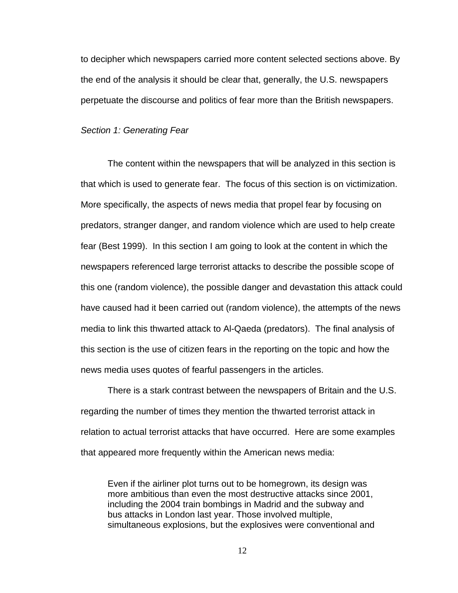to decipher which newspapers carried more content selected sections above. By the end of the analysis it should be clear that, generally, the U.S. newspapers perpetuate the discourse and politics of fear more than the British newspapers.

#### *Section 1: Generating Fear*

The content within the newspapers that will be analyzed in this section is that which is used to generate fear. The focus of this section is on victimization. More specifically, the aspects of news media that propel fear by focusing on predators, stranger danger, and random violence which are used to help create fear (Best 1999). In this section I am going to look at the content in which the newspapers referenced large terrorist attacks to describe the possible scope of this one (random violence), the possible danger and devastation this attack could have caused had it been carried out (random violence), the attempts of the news media to link this thwarted attack to Al-Qaeda (predators). The final analysis of this section is the use of citizen fears in the reporting on the topic and how the news media uses quotes of fearful passengers in the articles.

There is a stark contrast between the newspapers of Britain and the U.S. regarding the number of times they mention the thwarted terrorist attack in relation to actual terrorist attacks that have occurred. Here are some examples that appeared more frequently within the American news media:

Even if the airliner plot turns out to be homegrown, its design was more ambitious than even the most destructive attacks since 2001, including the 2004 train bombings in Madrid and the subway and bus attacks in London last year. Those involved multiple, simultaneous explosions, but the explosives were conventional and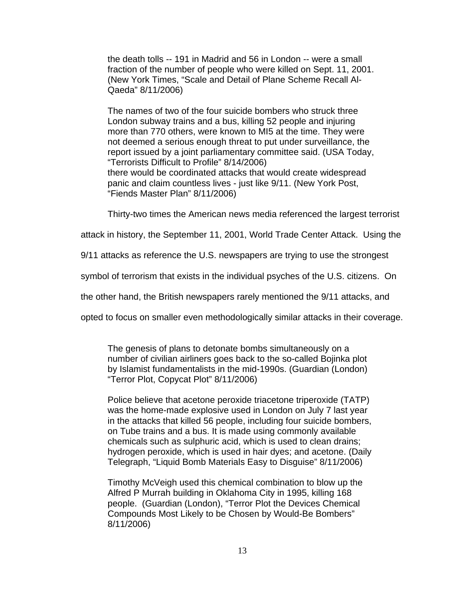the death tolls -- 191 in Madrid and 56 in London -- were a small fraction of the number of people who were killed on Sept. 11, 2001. (New York Times, "Scale and Detail of Plane Scheme Recall Al-Qaeda" 8/11/2006)

The names of two of the four suicide bombers who struck three London subway trains and a bus, killing 52 people and injuring more than 770 others, were known to MI5 at the time. They were not deemed a serious enough threat to put under surveillance, the report issued by a joint parliamentary committee said. (USA Today, "Terrorists Difficult to Profile" 8/14/2006) there would be coordinated attacks that would create widespread panic and claim countless lives - just like 9/11. (New York Post, "Fiends Master Plan" 8/11/2006)

Thirty-two times the American news media referenced the largest terrorist

attack in history, the September 11, 2001, World Trade Center Attack. Using the

9/11 attacks as reference the U.S. newspapers are trying to use the strongest

symbol of terrorism that exists in the individual psyches of the U.S. citizens. On

the other hand, the British newspapers rarely mentioned the 9/11 attacks, and

opted to focus on smaller even methodologically similar attacks in their coverage.

The genesis of plans to detonate bombs simultaneously on a number of civilian airliners goes back to the so-called Bojinka plot by Islamist fundamentalists in the mid-1990s. (Guardian (London) "Terror Plot, Copycat Plot" 8/11/2006)

Police believe that acetone peroxide triacetone triperoxide (TATP) was the home-made explosive used in London on July 7 last year in the attacks that killed 56 people, including four suicide bombers, on Tube trains and a bus. It is made using commonly available chemicals such as sulphuric acid, which is used to clean drains; hydrogen peroxide, which is used in hair dyes; and acetone. (Daily Telegraph, "Liquid Bomb Materials Easy to Disguise" 8/11/2006)

Timothy McVeigh used this chemical combination to blow up the Alfred P Murrah building in Oklahoma City in 1995, killing 168 people. (Guardian (London), "Terror Plot the Devices Chemical Compounds Most Likely to be Chosen by Would-Be Bombers" 8/11/2006)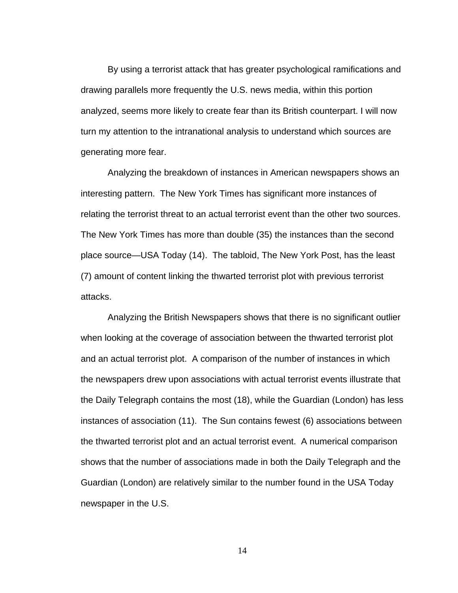By using a terrorist attack that has greater psychological ramifications and drawing parallels more frequently the U.S. news media, within this portion analyzed, seems more likely to create fear than its British counterpart. I will now turn my attention to the intranational analysis to understand which sources are generating more fear.

Analyzing the breakdown of instances in American newspapers shows an interesting pattern. The New York Times has significant more instances of relating the terrorist threat to an actual terrorist event than the other two sources. The New York Times has more than double (35) the instances than the second place source—USA Today (14). The tabloid, The New York Post, has the least (7) amount of content linking the thwarted terrorist plot with previous terrorist attacks.

Analyzing the British Newspapers shows that there is no significant outlier when looking at the coverage of association between the thwarted terrorist plot and an actual terrorist plot. A comparison of the number of instances in which the newspapers drew upon associations with actual terrorist events illustrate that the Daily Telegraph contains the most (18), while the Guardian (London) has less instances of association (11). The Sun contains fewest (6) associations between the thwarted terrorist plot and an actual terrorist event. A numerical comparison shows that the number of associations made in both the Daily Telegraph and the Guardian (London) are relatively similar to the number found in the USA Today newspaper in the U.S.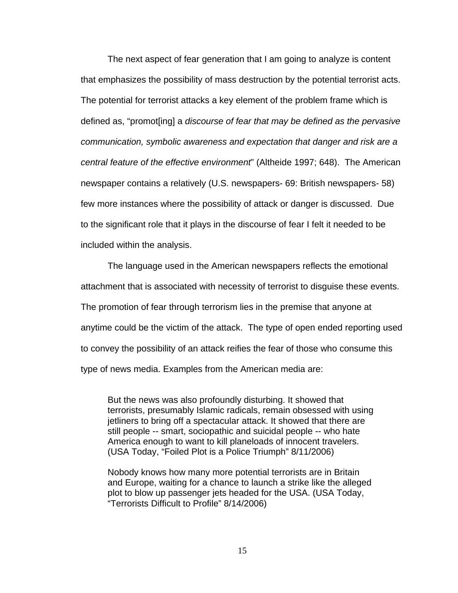The next aspect of fear generation that I am going to analyze is content that emphasizes the possibility of mass destruction by the potential terrorist acts. The potential for terrorist attacks a key element of the problem frame which is defined as, "promot[ing] a *discourse of fear that may be defined as the pervasive communication, symbolic awareness and expectation that danger and risk are a central feature of the effective environment*" (Altheide 1997; 648). The American newspaper contains a relatively (U.S. newspapers- 69: British newspapers- 58) few more instances where the possibility of attack or danger is discussed. Due to the significant role that it plays in the discourse of fear I felt it needed to be included within the analysis.

The language used in the American newspapers reflects the emotional attachment that is associated with necessity of terrorist to disguise these events. The promotion of fear through terrorism lies in the premise that anyone at anytime could be the victim of the attack. The type of open ended reporting used to convey the possibility of an attack reifies the fear of those who consume this type of news media. Examples from the American media are:

But the news was also profoundly disturbing. It showed that terrorists, presumably Islamic radicals, remain obsessed with using jetliners to bring off a spectacular attack. It showed that there are still people -- smart, sociopathic and suicidal people -- who hate America enough to want to kill planeloads of innocent travelers. (USA Today, "Foiled Plot is a Police Triumph" 8/11/2006)

Nobody knows how many more potential terrorists are in Britain and Europe, waiting for a chance to launch a strike like the alleged plot to blow up passenger jets headed for the USA. (USA Today, "Terrorists Difficult to Profile" 8/14/2006)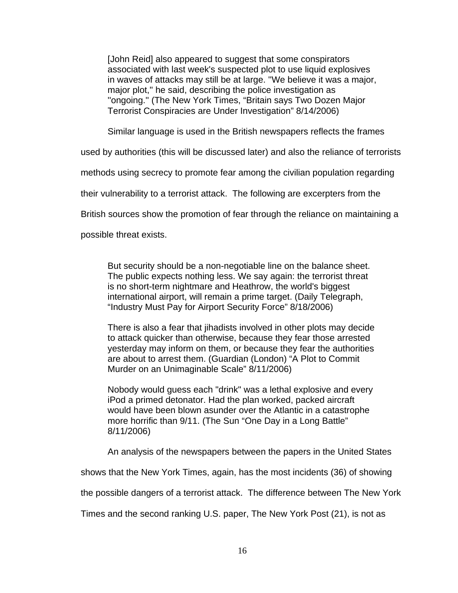[John Reid] also appeared to suggest that some conspirators associated with last week's suspected plot to use liquid explosives in waves of attacks may still be at large. ''We believe it was a major, major plot,'' he said, describing the police investigation as ''ongoing.'' (The New York Times, "Britain says Two Dozen Major Terrorist Conspiracies are Under Investigation" 8/14/2006)

Similar language is used in the British newspapers reflects the frames

used by authorities (this will be discussed later) and also the reliance of terrorists

methods using secrecy to promote fear among the civilian population regarding

their vulnerability to a terrorist attack. The following are excerpters from the

British sources show the promotion of fear through the reliance on maintaining a

possible threat exists.

But security should be a non-negotiable line on the balance sheet. The public expects nothing less. We say again: the terrorist threat is no short-term nightmare and Heathrow, the world's biggest international airport, will remain a prime target. (Daily Telegraph, "Industry Must Pay for Airport Security Force" 8/18/2006)

There is also a fear that jihadists involved in other plots may decide to attack quicker than otherwise, because they fear those arrested yesterday may inform on them, or because they fear the authorities are about to arrest them. (Guardian (London) "A Plot to Commit Murder on an Unimaginable Scale" 8/11/2006)

Nobody would guess each "drink" was a lethal explosive and every iPod a primed detonator. Had the plan worked, packed aircraft would have been blown asunder over the Atlantic in a catastrophe more horrific than 9/11. (The Sun "One Day in a Long Battle" 8/11/2006)

An analysis of the newspapers between the papers in the United States

shows that the New York Times, again, has the most incidents (36) of showing

the possible dangers of a terrorist attack. The difference between The New York

Times and the second ranking U.S. paper, The New York Post (21), is not as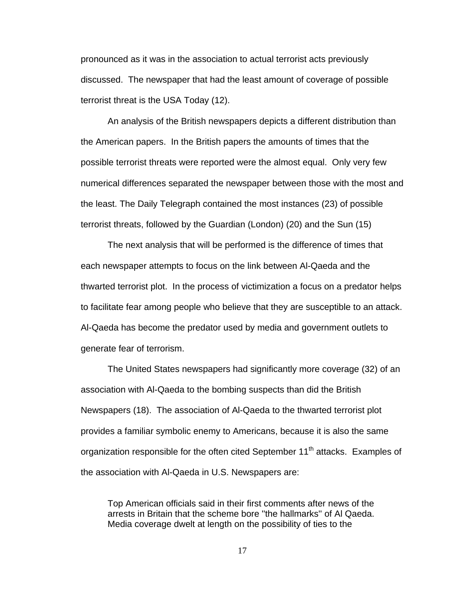pronounced as it was in the association to actual terrorist acts previously discussed. The newspaper that had the least amount of coverage of possible terrorist threat is the USA Today (12).

An analysis of the British newspapers depicts a different distribution than the American papers. In the British papers the amounts of times that the possible terrorist threats were reported were the almost equal. Only very few numerical differences separated the newspaper between those with the most and the least. The Daily Telegraph contained the most instances (23) of possible terrorist threats, followed by the Guardian (London) (20) and the Sun (15)

The next analysis that will be performed is the difference of times that each newspaper attempts to focus on the link between Al-Qaeda and the thwarted terrorist plot. In the process of victimization a focus on a predator helps to facilitate fear among people who believe that they are susceptible to an attack. Al-Qaeda has become the predator used by media and government outlets to generate fear of terrorism.

The United States newspapers had significantly more coverage (32) of an association with Al-Qaeda to the bombing suspects than did the British Newspapers (18). The association of Al-Qaeda to the thwarted terrorist plot provides a familiar symbolic enemy to Americans, because it is also the same organization responsible for the often cited September  $11<sup>th</sup>$  attacks. Examples of the association with Al-Qaeda in U.S. Newspapers are:

Top American officials said in their first comments after news of the arrests in Britain that the scheme bore ''the hallmarks'' of Al Qaeda. Media coverage dwelt at length on the possibility of ties to the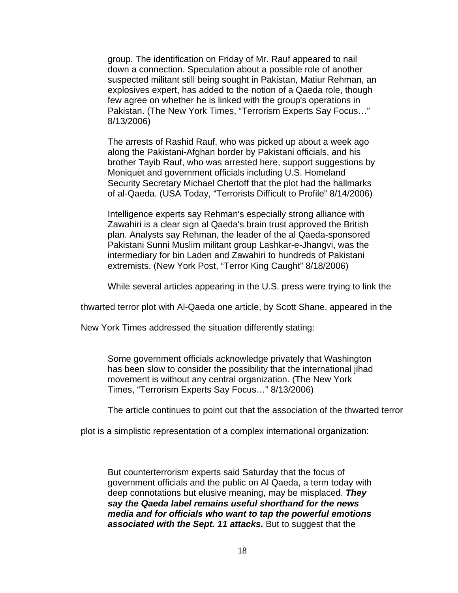group. The identification on Friday of Mr. Rauf appeared to nail down a connection. Speculation about a possible role of another suspected militant still being sought in Pakistan, Matiur Rehman, an explosives expert, has added to the notion of a Qaeda role, though few agree on whether he is linked with the group's operations in Pakistan. (The New York Times, "Terrorism Experts Say Focus…" 8/13/2006)

The arrests of Rashid Rauf, who was picked up about a week ago along the Pakistani-Afghan border by Pakistani officials, and his brother Tayib Rauf, who was arrested here, support suggestions by Moniquet and government officials including U.S. Homeland Security Secretary Michael Chertoff that the plot had the hallmarks of al-Qaeda. (USA Today, "Terrorists Difficult to Profile" 8/14/2006)

Intelligence experts say Rehman's especially strong alliance with Zawahiri is a clear sign al Qaeda's brain trust approved the British plan. Analysts say Rehman, the leader of the al Qaeda-sponsored Pakistani Sunni Muslim militant group Lashkar-e-Jhangvi, was the intermediary for bin Laden and Zawahiri to hundreds of Pakistani extremists. (New York Post, "Terror King Caught" 8/18/2006)

While several articles appearing in the U.S. press were trying to link the

thwarted terror plot with Al-Qaeda one article, by Scott Shane, appeared in the

New York Times addressed the situation differently stating:

Some government officials acknowledge privately that Washington has been slow to consider the possibility that the international jihad movement is without any central organization. (The New York Times, "Terrorism Experts Say Focus…" 8/13/2006)

The article continues to point out that the association of the thwarted terror

plot is a simplistic representation of a complex international organization:

But counterterrorism experts said Saturday that the focus of government officials and the public on Al Qaeda, a term today with deep connotations but elusive meaning, may be misplaced. *They say the Qaeda label remains useful shorthand for the news media and for officials who want to tap the powerful emotions associated with the Sept. 11 attacks.* But to suggest that the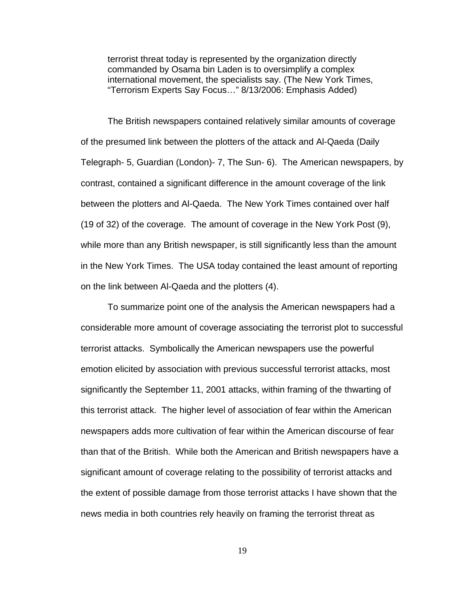terrorist threat today is represented by the organization directly commanded by Osama bin Laden is to oversimplify a complex international movement, the specialists say. (The New York Times, "Terrorism Experts Say Focus…" 8/13/2006: Emphasis Added)

The British newspapers contained relatively similar amounts of coverage of the presumed link between the plotters of the attack and Al-Qaeda (Daily Telegraph- 5, Guardian (London)- 7, The Sun- 6). The American newspapers, by contrast, contained a significant difference in the amount coverage of the link between the plotters and Al-Qaeda. The New York Times contained over half (19 of 32) of the coverage. The amount of coverage in the New York Post (9), while more than any British newspaper, is still significantly less than the amount in the New York Times. The USA today contained the least amount of reporting on the link between Al-Qaeda and the plotters (4).

To summarize point one of the analysis the American newspapers had a considerable more amount of coverage associating the terrorist plot to successful terrorist attacks. Symbolically the American newspapers use the powerful emotion elicited by association with previous successful terrorist attacks, most significantly the September 11, 2001 attacks, within framing of the thwarting of this terrorist attack. The higher level of association of fear within the American newspapers adds more cultivation of fear within the American discourse of fear than that of the British. While both the American and British newspapers have a significant amount of coverage relating to the possibility of terrorist attacks and the extent of possible damage from those terrorist attacks I have shown that the news media in both countries rely heavily on framing the terrorist threat as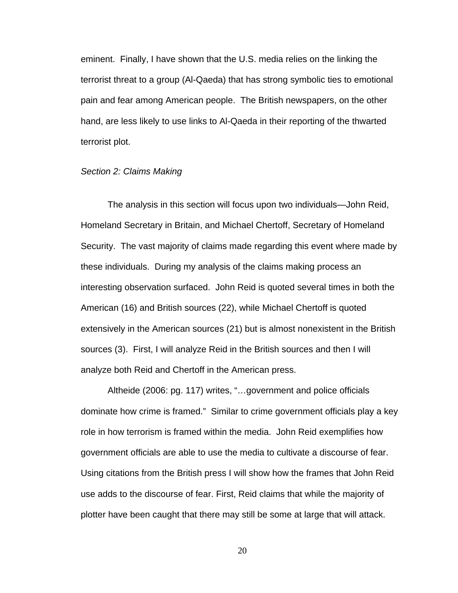eminent. Finally, I have shown that the U.S. media relies on the linking the terrorist threat to a group (Al-Qaeda) that has strong symbolic ties to emotional pain and fear among American people. The British newspapers, on the other hand, are less likely to use links to Al-Qaeda in their reporting of the thwarted terrorist plot.

#### *Section 2: Claims Making*

The analysis in this section will focus upon two individuals—John Reid, Homeland Secretary in Britain, and Michael Chertoff, Secretary of Homeland Security. The vast majority of claims made regarding this event where made by these individuals. During my analysis of the claims making process an interesting observation surfaced. John Reid is quoted several times in both the American (16) and British sources (22), while Michael Chertoff is quoted extensively in the American sources (21) but is almost nonexistent in the British sources (3). First, I will analyze Reid in the British sources and then I will analyze both Reid and Chertoff in the American press.

Altheide (2006: pg. 117) writes, "…government and police officials dominate how crime is framed." Similar to crime government officials play a key role in how terrorism is framed within the media. John Reid exemplifies how government officials are able to use the media to cultivate a discourse of fear. Using citations from the British press I will show how the frames that John Reid use adds to the discourse of fear. First, Reid claims that while the majority of plotter have been caught that there may still be some at large that will attack.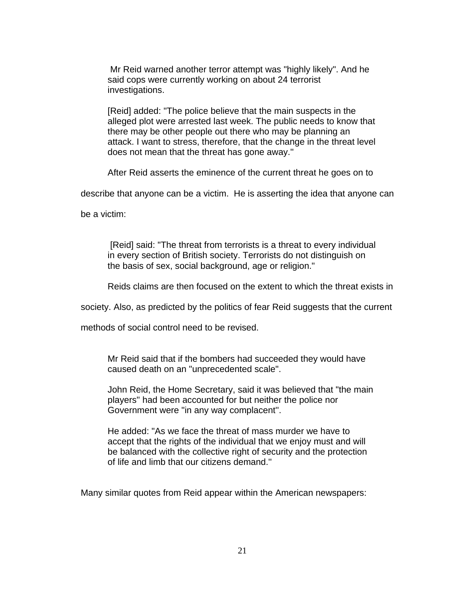Mr Reid warned another terror attempt was "highly likely". And he said cops were currently working on about 24 terrorist investigations.

[Reid] added: "The police believe that the main suspects in the alleged plot were arrested last week. The public needs to know that there may be other people out there who may be planning an attack. I want to stress, therefore, that the change in the threat level does not mean that the threat has gone away.''

After Reid asserts the eminence of the current threat he goes on to

describe that anyone can be a victim. He is asserting the idea that anyone can

be a victim:

 [Reid] said: "The threat from terrorists is a threat to every individual in every section of British society. Terrorists do not distinguish on the basis of sex, social background, age or religion."

Reids claims are then focused on the extent to which the threat exists in

society. Also, as predicted by the politics of fear Reid suggests that the current

methods of social control need to be revised.

Mr Reid said that if the bombers had succeeded they would have caused death on an "unprecedented scale".

John Reid, the Home Secretary, said it was believed that "the main players'' had been accounted for but neither the police nor Government were "in any way complacent''.

He added: "As we face the threat of mass murder we have to accept that the rights of the individual that we enjoy must and will be balanced with the collective right of security and the protection of life and limb that our citizens demand.''

Many similar quotes from Reid appear within the American newspapers: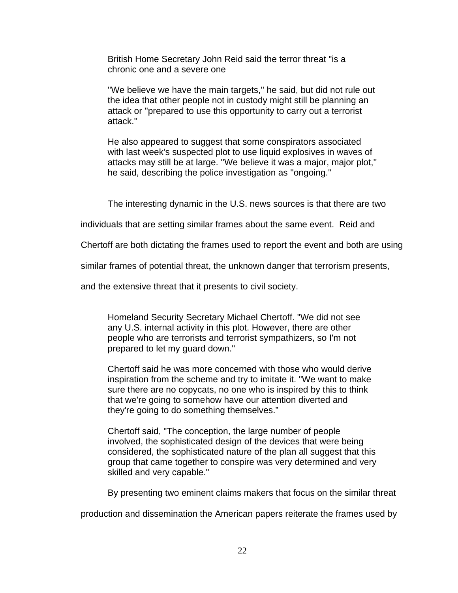British Home Secretary John Reid said the terror threat "is a chronic one and a severe one

''We believe we have the main targets,'' he said, but did not rule out the idea that other people not in custody might still be planning an attack or ''prepared to use this opportunity to carry out a terrorist attack.''

He also appeared to suggest that some conspirators associated with last week's suspected plot to use liquid explosives in waves of attacks may still be at large. ''We believe it was a major, major plot,'' he said, describing the police investigation as ''ongoing.''

The interesting dynamic in the U.S. news sources is that there are two

individuals that are setting similar frames about the same event. Reid and

Chertoff are both dictating the frames used to report the event and both are using

similar frames of potential threat, the unknown danger that terrorism presents,

and the extensive threat that it presents to civil society.

Homeland Security Secretary Michael Chertoff. "We did not see any U.S. internal activity in this plot. However, there are other people who are terrorists and terrorist sympathizers, so I'm not prepared to let my guard down."

Chertoff said he was more concerned with those who would derive inspiration from the scheme and try to imitate it. "We want to make sure there are no copycats, no one who is inspired by this to think that we're going to somehow have our attention diverted and they're going to do something themselves."

Chertoff said, "The conception, the large number of people involved, the sophisticated design of the devices that were being considered, the sophisticated nature of the plan all suggest that this group that came together to conspire was very determined and very skilled and very capable."

By presenting two eminent claims makers that focus on the similar threat

production and dissemination the American papers reiterate the frames used by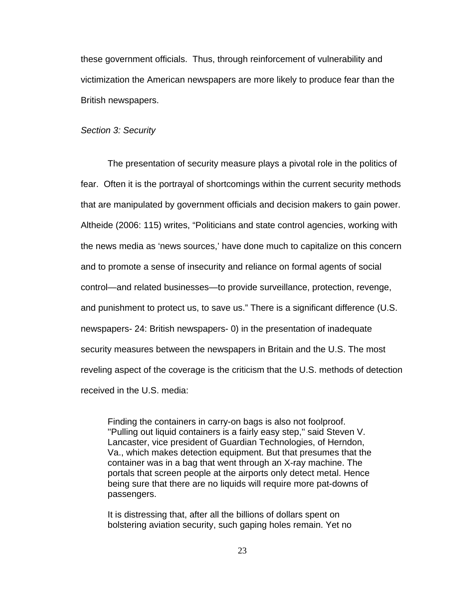these government officials. Thus, through reinforcement of vulnerability and victimization the American newspapers are more likely to produce fear than the British newspapers.

#### *Section 3: Security*

The presentation of security measure plays a pivotal role in the politics of fear. Often it is the portrayal of shortcomings within the current security methods that are manipulated by government officials and decision makers to gain power. Altheide (2006: 115) writes, "Politicians and state control agencies, working with the news media as 'news sources,' have done much to capitalize on this concern and to promote a sense of insecurity and reliance on formal agents of social control—and related businesses—to provide surveillance, protection, revenge, and punishment to protect us, to save us." There is a significant difference (U.S. newspapers- 24: British newspapers- 0) in the presentation of inadequate security measures between the newspapers in Britain and the U.S. The most reveling aspect of the coverage is the criticism that the U.S. methods of detection received in the U.S. media:

Finding the containers in carry-on bags is also not foolproof. ''Pulling out liquid containers is a fairly easy step,'' said Steven V. Lancaster, vice president of Guardian Technologies, of Herndon, Va., which makes detection equipment. But that presumes that the container was in a bag that went through an X-ray machine. The portals that screen people at the airports only detect metal. Hence being sure that there are no liquids will require more pat-downs of passengers.

It is distressing that, after all the billions of dollars spent on bolstering aviation security, such gaping holes remain. Yet no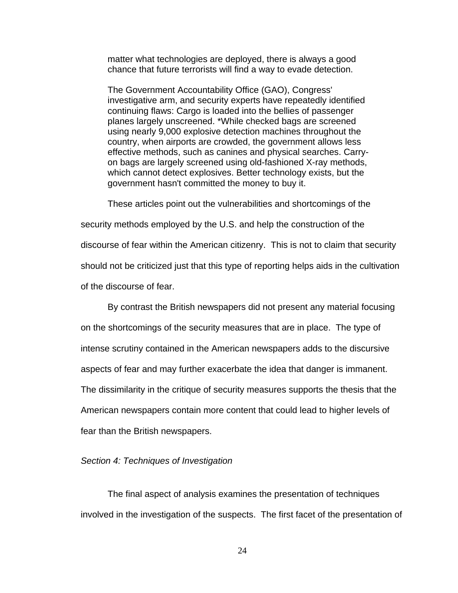matter what technologies are deployed, there is always a good chance that future terrorists will find a way to evade detection.

The Government Accountability Office (GAO), Congress' investigative arm, and security experts have repeatedly identified continuing flaws: Cargo is loaded into the bellies of passenger planes largely unscreened. \*While checked bags are screened using nearly 9,000 explosive detection machines throughout the country, when airports are crowded, the government allows less effective methods, such as canines and physical searches. Carryon bags are largely screened using old-fashioned X-ray methods, which cannot detect explosives. Better technology exists, but the government hasn't committed the money to buy it.

These articles point out the vulnerabilities and shortcomings of the security methods employed by the U.S. and help the construction of the discourse of fear within the American citizenry. This is not to claim that security should not be criticized just that this type of reporting helps aids in the cultivation of the discourse of fear.

By contrast the British newspapers did not present any material focusing on the shortcomings of the security measures that are in place. The type of intense scrutiny contained in the American newspapers adds to the discursive aspects of fear and may further exacerbate the idea that danger is immanent. The dissimilarity in the critique of security measures supports the thesis that the American newspapers contain more content that could lead to higher levels of fear than the British newspapers.

#### *Section 4: Techniques of Investigation*

The final aspect of analysis examines the presentation of techniques involved in the investigation of the suspects. The first facet of the presentation of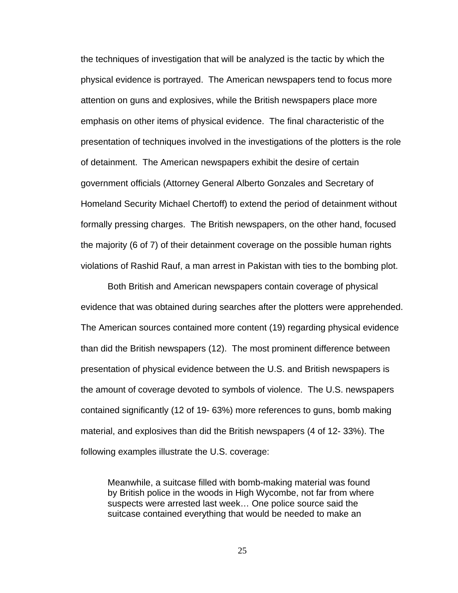the techniques of investigation that will be analyzed is the tactic by which the physical evidence is portrayed. The American newspapers tend to focus more attention on guns and explosives, while the British newspapers place more emphasis on other items of physical evidence. The final characteristic of the presentation of techniques involved in the investigations of the plotters is the role of detainment. The American newspapers exhibit the desire of certain government officials (Attorney General Alberto Gonzales and Secretary of Homeland Security Michael Chertoff) to extend the period of detainment without formally pressing charges. The British newspapers, on the other hand, focused the majority (6 of 7) of their detainment coverage on the possible human rights violations of Rashid Rauf, a man arrest in Pakistan with ties to the bombing plot.

Both British and American newspapers contain coverage of physical evidence that was obtained during searches after the plotters were apprehended. The American sources contained more content (19) regarding physical evidence than did the British newspapers (12). The most prominent difference between presentation of physical evidence between the U.S. and British newspapers is the amount of coverage devoted to symbols of violence. The U.S. newspapers contained significantly (12 of 19- 63%) more references to guns, bomb making material, and explosives than did the British newspapers (4 of 12- 33%). The following examples illustrate the U.S. coverage:

Meanwhile, a suitcase filled with bomb-making material was found by British police in the woods in High Wycombe, not far from where suspects were arrested last week… One police source said the suitcase contained everything that would be needed to make an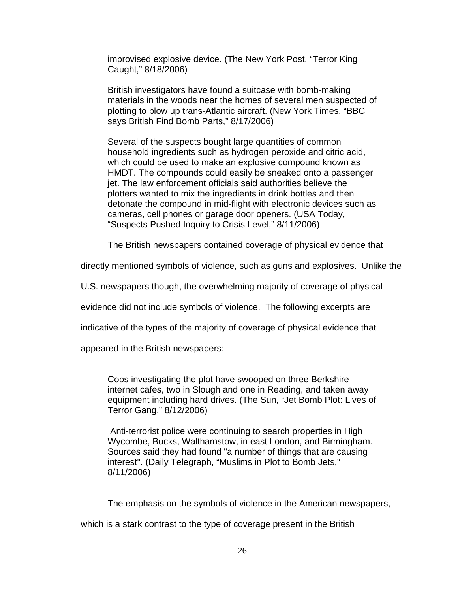improvised explosive device. (The New York Post, "Terror King Caught," 8/18/2006)

British investigators have found a suitcase with bomb-making materials in the woods near the homes of several men suspected of plotting to blow up trans-Atlantic aircraft. (New York Times, "BBC says British Find Bomb Parts," 8/17/2006)

Several of the suspects bought large quantities of common household ingredients such as hydrogen peroxide and citric acid, which could be used to make an explosive compound known as HMDT. The compounds could easily be sneaked onto a passenger jet. The law enforcement officials said authorities believe the plotters wanted to mix the ingredients in drink bottles and then detonate the compound in mid-flight with electronic devices such as cameras, cell phones or garage door openers. (USA Today, "Suspects Pushed Inquiry to Crisis Level," 8/11/2006)

The British newspapers contained coverage of physical evidence that

directly mentioned symbols of violence, such as guns and explosives. Unlike the

U.S. newspapers though, the overwhelming majority of coverage of physical

evidence did not include symbols of violence. The following excerpts are

indicative of the types of the majority of coverage of physical evidence that

appeared in the British newspapers:

Cops investigating the plot have swooped on three Berkshire internet cafes, two in Slough and one in Reading, and taken away equipment including hard drives. (The Sun, "Jet Bomb Plot: Lives of Terror Gang," 8/12/2006)

 Anti-terrorist police were continuing to search properties in High Wycombe, Bucks, Walthamstow, in east London, and Birmingham. Sources said they had found "a number of things that are causing interest''. (Daily Telegraph, "Muslims in Plot to Bomb Jets," 8/11/2006)

The emphasis on the symbols of violence in the American newspapers,

which is a stark contrast to the type of coverage present in the British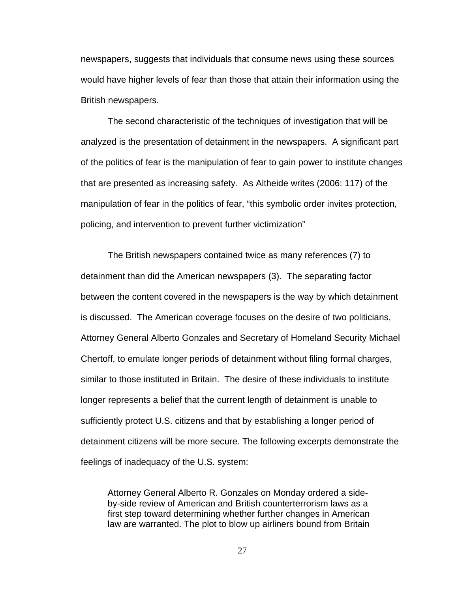newspapers, suggests that individuals that consume news using these sources would have higher levels of fear than those that attain their information using the British newspapers.

The second characteristic of the techniques of investigation that will be analyzed is the presentation of detainment in the newspapers. A significant part of the politics of fear is the manipulation of fear to gain power to institute changes that are presented as increasing safety. As Altheide writes (2006: 117) of the manipulation of fear in the politics of fear, "this symbolic order invites protection, policing, and intervention to prevent further victimization"

The British newspapers contained twice as many references (7) to detainment than did the American newspapers (3). The separating factor between the content covered in the newspapers is the way by which detainment is discussed. The American coverage focuses on the desire of two politicians, Attorney General Alberto Gonzales and Secretary of Homeland Security Michael Chertoff, to emulate longer periods of detainment without filing formal charges, similar to those instituted in Britain. The desire of these individuals to institute longer represents a belief that the current length of detainment is unable to sufficiently protect U.S. citizens and that by establishing a longer period of detainment citizens will be more secure. The following excerpts demonstrate the feelings of inadequacy of the U.S. system:

Attorney General Alberto R. Gonzales on Monday ordered a sideby-side review of American and British counterterrorism laws as a first step toward determining whether further changes in American law are warranted. The plot to blow up airliners bound from Britain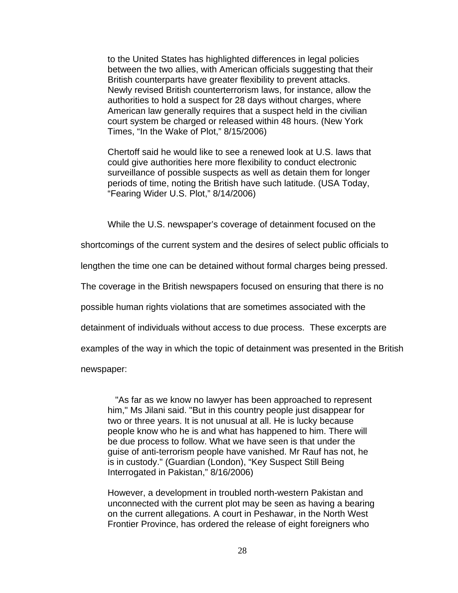to the United States has highlighted differences in legal policies between the two allies, with American officials suggesting that their British counterparts have greater flexibility to prevent attacks. Newly revised British counterterrorism laws, for instance, allow the authorities to hold a suspect for 28 days without charges, where American law generally requires that a suspect held in the civilian court system be charged or released within 48 hours. (New York Times, "In the Wake of Plot," 8/15/2006)

Chertoff said he would like to see a renewed look at U.S. laws that could give authorities here more flexibility to conduct electronic surveillance of possible suspects as well as detain them for longer periods of time, noting the British have such latitude. (USA Today, "Fearing Wider U.S. Plot," 8/14/2006)

While the U.S. newspaper's coverage of detainment focused on the

shortcomings of the current system and the desires of select public officials to

lengthen the time one can be detained without formal charges being pressed.

The coverage in the British newspapers focused on ensuring that there is no

possible human rights violations that are sometimes associated with the

detainment of individuals without access to due process. These excerpts are

examples of the way in which the topic of detainment was presented in the British

newspaper:

 "As far as we know no lawyer has been approached to represent him," Ms Jilani said. "But in this country people just disappear for two or three years. It is not unusual at all. He is lucky because people know who he is and what has happened to him. There will be due process to follow. What we have seen is that under the guise of anti-terrorism people have vanished. Mr Rauf has not, he is in custody." (Guardian (London), "Key Suspect Still Being Interrogated in Pakistan," 8/16/2006)

However, a development in troubled north-western Pakistan and unconnected with the current plot may be seen as having a bearing on the current allegations. A court in Peshawar, in the North West Frontier Province, has ordered the release of eight foreigners who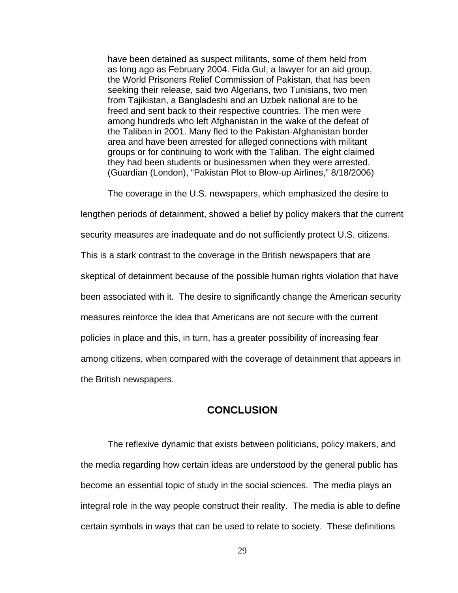have been detained as suspect militants, some of them held from as long ago as February 2004. Fida Gul, a lawyer for an aid group, the World Prisoners Relief Commission of Pakistan, that has been seeking their release, said two Algerians, two Tunisians, two men from Tajikistan, a Bangladeshi and an Uzbek national are to be freed and sent back to their respective countries. The men were among hundreds who left Afghanistan in the wake of the defeat of the Taliban in 2001. Many fled to the Pakistan-Afghanistan border area and have been arrested for alleged connections with militant groups or for continuing to work with the Taliban. The eight claimed they had been students or businessmen when they were arrested. (Guardian (London), "Pakistan Plot to Blow-up Airlines," 8/18/2006)

The coverage in the U.S. newspapers, which emphasized the desire to

lengthen periods of detainment, showed a belief by policy makers that the current security measures are inadequate and do not sufficiently protect U.S. citizens. This is a stark contrast to the coverage in the British newspapers that are skeptical of detainment because of the possible human rights violation that have been associated with it. The desire to significantly change the American security measures reinforce the idea that Americans are not secure with the current policies in place and this, in turn, has a greater possibility of increasing fear among citizens, when compared with the coverage of detainment that appears in the British newspapers.

### **CONCLUSION**

The reflexive dynamic that exists between politicians, policy makers, and the media regarding how certain ideas are understood by the general public has become an essential topic of study in the social sciences. The media plays an integral role in the way people construct their reality. The media is able to define certain symbols in ways that can be used to relate to society. These definitions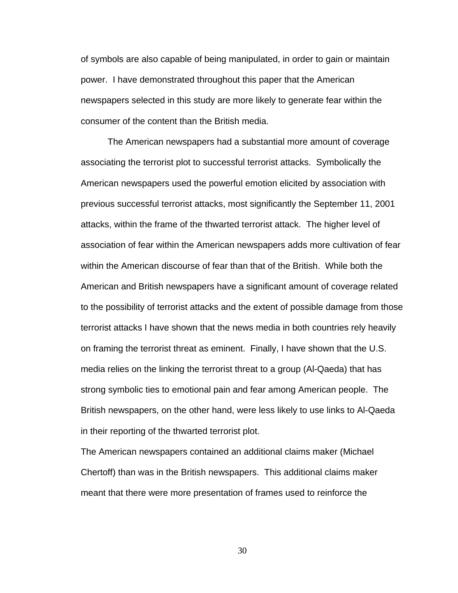of symbols are also capable of being manipulated, in order to gain or maintain power. I have demonstrated throughout this paper that the American newspapers selected in this study are more likely to generate fear within the consumer of the content than the British media.

The American newspapers had a substantial more amount of coverage associating the terrorist plot to successful terrorist attacks. Symbolically the American newspapers used the powerful emotion elicited by association with previous successful terrorist attacks, most significantly the September 11, 2001 attacks, within the frame of the thwarted terrorist attack. The higher level of association of fear within the American newspapers adds more cultivation of fear within the American discourse of fear than that of the British. While both the American and British newspapers have a significant amount of coverage related to the possibility of terrorist attacks and the extent of possible damage from those terrorist attacks I have shown that the news media in both countries rely heavily on framing the terrorist threat as eminent. Finally, I have shown that the U.S. media relies on the linking the terrorist threat to a group (Al-Qaeda) that has strong symbolic ties to emotional pain and fear among American people. The British newspapers, on the other hand, were less likely to use links to Al-Qaeda in their reporting of the thwarted terrorist plot.

The American newspapers contained an additional claims maker (Michael Chertoff) than was in the British newspapers. This additional claims maker meant that there were more presentation of frames used to reinforce the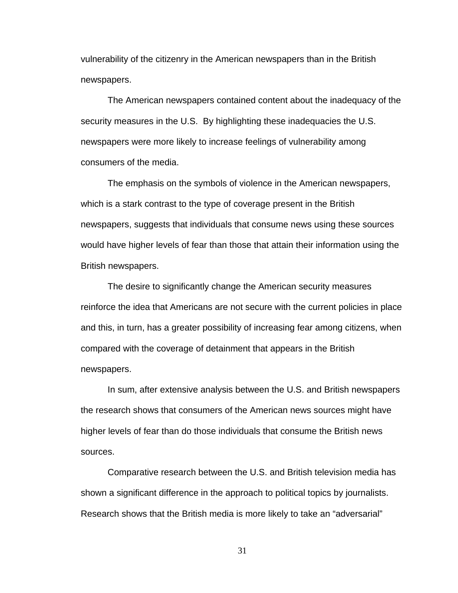vulnerability of the citizenry in the American newspapers than in the British newspapers.

The American newspapers contained content about the inadequacy of the security measures in the U.S. By highlighting these inadequacies the U.S. newspapers were more likely to increase feelings of vulnerability among consumers of the media.

The emphasis on the symbols of violence in the American newspapers, which is a stark contrast to the type of coverage present in the British newspapers, suggests that individuals that consume news using these sources would have higher levels of fear than those that attain their information using the British newspapers.

The desire to significantly change the American security measures reinforce the idea that Americans are not secure with the current policies in place and this, in turn, has a greater possibility of increasing fear among citizens, when compared with the coverage of detainment that appears in the British newspapers.

In sum, after extensive analysis between the U.S. and British newspapers the research shows that consumers of the American news sources might have higher levels of fear than do those individuals that consume the British news sources.

Comparative research between the U.S. and British television media has shown a significant difference in the approach to political topics by journalists. Research shows that the British media is more likely to take an "adversarial"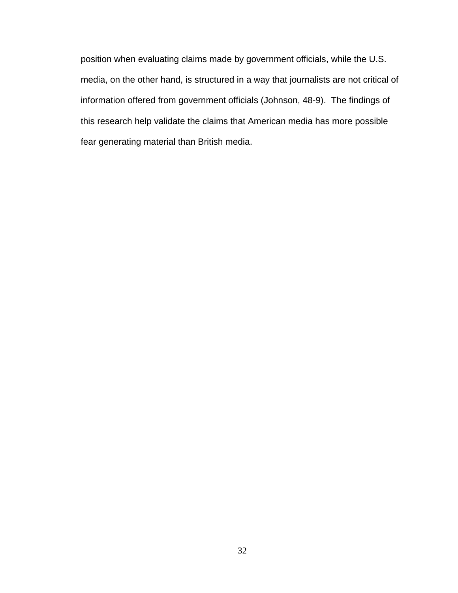position when evaluating claims made by government officials, while the U.S. media, on the other hand, is structured in a way that journalists are not critical of information offered from government officials (Johnson, 48-9). The findings of this research help validate the claims that American media has more possible fear generating material than British media.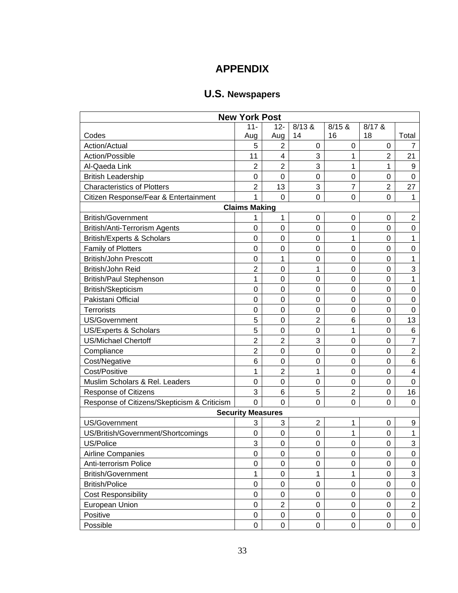# **APPENDIX**

# **U.S. Newspapers**

| <b>New York Post</b>                        |                          |                  |                |                |                  |                  |  |  |
|---------------------------------------------|--------------------------|------------------|----------------|----------------|------------------|------------------|--|--|
|                                             | $11 -$                   | $12 -$           | 8/13 &         | 8/15 &         | $8/17$ &         |                  |  |  |
| Codes                                       | Aug                      | Aug              | 14             | 16             | 18               | Total            |  |  |
| Action/Actual                               | 5                        | $\overline{2}$   | 0              | 0              | 0                | 7                |  |  |
| Action/Possible                             | 11                       | 4                | 3              | 1              | $\overline{2}$   | 21               |  |  |
| Al-Qaeda Link                               | $\overline{2}$           | $\overline{2}$   | 3              | 1              | 1                | 9                |  |  |
| <b>British Leadership</b>                   | $\boldsymbol{0}$         | $\mathbf 0$      | $\mathbf 0$    | $\mathsf 0$    | $\boldsymbol{0}$ | $\boldsymbol{0}$ |  |  |
| <b>Characteristics of Plotters</b>          | $\overline{2}$           | 13               | 3              | $\overline{7}$ | $\overline{2}$   | 27               |  |  |
| Citizen Response/Fear & Entertainment       | 1                        | $\mathbf 0$      | $\mathbf 0$    | $\mathsf 0$    | $\mathbf 0$      | 1                |  |  |
|                                             | <b>Claims Making</b>     |                  |                |                |                  |                  |  |  |
| <b>British/Government</b>                   | 1                        | 1                | 0              | 0              | 0                | $\overline{c}$   |  |  |
| British/Anti-Terrorism Agents               | $\mathbf 0$              | 0                | $\mathbf 0$    | 0              | 0                | 0                |  |  |
| <b>British/Experts &amp; Scholars</b>       | $\mathbf 0$              | $\mathbf 0$      | $\mathbf 0$    | 1              | $\mathbf 0$      | 1                |  |  |
| <b>Family of Plotters</b>                   | $\mathbf 0$              | $\mathbf 0$      | 0              | 0              | 0                | 0                |  |  |
| <b>British/John Prescott</b>                | $\boldsymbol{0}$         | 1                | $\mathbf 0$    | 0              | 0                | 1                |  |  |
| British/John Reid                           | $\overline{2}$           | $\mathbf 0$      | 1              | $\mathbf 0$    | $\mathbf 0$      | 3                |  |  |
| British/Paul Stephenson                     | 1                        | $\mathbf 0$      | $\mathbf 0$    | $\mathbf 0$    | 0                | 1                |  |  |
| British/Skepticism                          | $\mathbf 0$              | $\mathbf 0$      | 0              | $\mathbf 0$    | 0                | 0                |  |  |
| Pakistani Official                          | $\mathbf 0$              | $\mathbf 0$      | $\mathbf 0$    | 0              | 0                | 0                |  |  |
| <b>Terrorists</b>                           | $\mathbf 0$              | $\mathbf 0$      | $\mathbf 0$    | $\mathbf 0$    | 0                | 0                |  |  |
| US/Government                               | 5                        | $\boldsymbol{0}$ | $\overline{2}$ | 6              | 0                | 13               |  |  |
| US/Experts & Scholars                       | 5                        | $\mathbf 0$      | $\mathbf 0$    | 1              | 0                | 6                |  |  |
| <b>US/Michael Chertoff</b>                  | $\overline{2}$           | $\overline{2}$   | 3              | $\mathsf 0$    | 0                | $\overline{7}$   |  |  |
| Compliance                                  | $\overline{2}$           | $\mathbf 0$      | $\mathbf 0$    | $\mathbf 0$    | 0                | $\overline{2}$   |  |  |
| Cost/Negative                               | $6\phantom{1}6$          | $\mathbf 0$      | $\mathbf 0$    | $\mathbf 0$    | 0                | 6                |  |  |
| Cost/Positive                               | 1                        | $\overline{2}$   | 1              | 0              | 0                | 4                |  |  |
| Muslim Scholars & Rel. Leaders              | $\mathbf 0$              | $\mathbf 0$      | $\mathbf 0$    | $\mathbf 0$    | 0                | $\overline{0}$   |  |  |
| Response of Citizens                        | $\sqrt{3}$               | $6\phantom{1}6$  | 5              | $\overline{c}$ | $\boldsymbol{0}$ | 16               |  |  |
| Response of Citizens/Skepticism & Criticism | $\overline{0}$           | $\Omega$         | $\overline{0}$ | $\mathbf 0$    | 0                | 0                |  |  |
|                                             | <b>Security Measures</b> |                  |                |                |                  |                  |  |  |
| US/Government                               | 3                        | 3                | $\mathbf 2$    | 1              | 0                | 9                |  |  |
| US/British/Government/Shortcomings          | $\mathbf 0$              | $\mathbf 0$      | 0              | 1              | 0                | 1                |  |  |
| US/Police                                   | 3                        | $\mathbf 0$      | $\mathbf 0$    | $\mathbf 0$    | 0                | 3                |  |  |
| <b>Airline Companies</b>                    | $\mathbf 0$              | 0                | 0              | 0              | $\mathbf 0$      | 0                |  |  |
| Anti-terrorism Police                       | 0                        | $\mathbf 0$      | 0              | 0              | 0                | 0                |  |  |
| <b>British/Government</b>                   | 1                        | $\mathbf 0$      | 1              | 1              | 0                | 3                |  |  |
| <b>British/Police</b>                       | $\pmb{0}$                | 0                | $\mathsf 0$    | $\pmb{0}$      | 0                | $\mathbf 0$      |  |  |
| <b>Cost Responsibility</b>                  | $\boldsymbol{0}$         | 0                | $\mathsf 0$    | $\pmb{0}$      | 0                | $\mathbf 0$      |  |  |
| European Union                              | $\pmb{0}$                | $\overline{2}$   | $\mathsf 0$    | $\pmb{0}$      | $\mathsf 0$      | $\mathbf 2$      |  |  |
| Positive                                    | $\pmb{0}$                | $\pmb{0}$        | $\mathsf 0$    | 0              | 0                | $\pmb{0}$        |  |  |
| Possible                                    | $\pmb{0}$                | $\pmb{0}$        | $\mathsf 0$    | 0              | 0                | $\pmb{0}$        |  |  |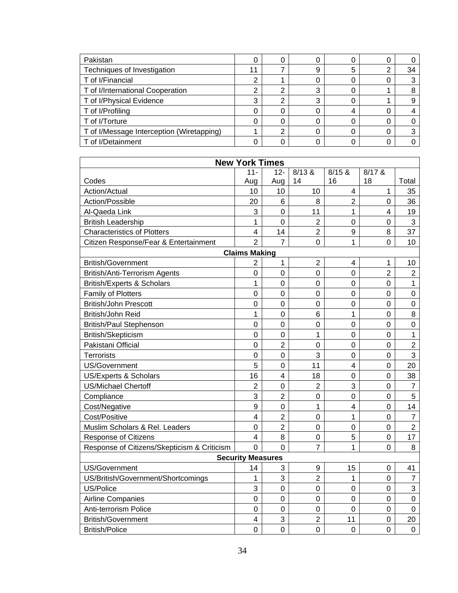| Pakistan                                  |    |   |   |   |   |    |
|-------------------------------------------|----|---|---|---|---|----|
| Techniques of Investigation               | 11 |   | 9 | 5 | っ | 34 |
| T of I/Financial                          |    |   |   |   |   |    |
| T of I/International Cooperation          | ◠  | ◠ | 3 |   |   |    |
| T of I/Physical Evidence                  | ົ  |   | 3 |   |   |    |
| T of I/Profiling                          |    |   |   | 4 |   |    |
| T of I/Torture                            |    |   |   |   |   |    |
| T of I/Message Interception (Wiretapping) |    |   |   |   |   |    |
| T of I/Detainment                         |    |   |   |   |   |    |

| <b>New York Times</b>                       |                         |                         |                  |                         |                |                |  |  |
|---------------------------------------------|-------------------------|-------------------------|------------------|-------------------------|----------------|----------------|--|--|
|                                             | $11 -$                  | $12 -$                  | 8/13 &           | 8/15 &                  | $8/17$ &       |                |  |  |
| Codes                                       | Aug                     | Aug                     | 14               | 16                      | 18             | Total          |  |  |
| Action/Actual                               | 10                      | 10                      | 10               | $\overline{\mathbf{4}}$ | 1              | 35             |  |  |
| Action/Possible                             | 20                      | 6                       | 8                | $\overline{2}$          | 0              | 36             |  |  |
| Al-Qaeda Link                               | 3                       | $\mathbf 0$             | 11               | 1                       | 4              | 19             |  |  |
| <b>British Leadership</b>                   | $\mathbf{1}$            | $\overline{0}$          | $\overline{2}$   | 0                       | $\mathbf 0$    | 3              |  |  |
| <b>Characteristics of Plotters</b>          | $\overline{4}$          | 14                      | $\overline{2}$   | $\boldsymbol{9}$        | 8              | 37             |  |  |
| Citizen Response/Fear & Entertainment       | $\overline{2}$          | $\overline{7}$          | $\overline{0}$   | $\overline{1}$          | $\overline{0}$ | 10             |  |  |
|                                             | <b>Claims Making</b>    |                         |                  |                         |                |                |  |  |
| <b>British/Government</b>                   | $\overline{2}$          | 1                       | $\overline{2}$   | $\overline{4}$          | 1              | 10             |  |  |
| British/Anti-Terrorism Agents               | $\overline{0}$          | $\overline{0}$          | $\overline{0}$   | 0                       | $\overline{2}$ | $\overline{2}$ |  |  |
| <b>British/Experts &amp; Scholars</b>       | $\overline{1}$          | $\mathbf 0$             | $\mathbf 0$      | $\mathbf 0$             | $\overline{0}$ | $\mathbf{1}$   |  |  |
| <b>Family of Plotters</b>                   | $\mathbf 0$             | $\mathbf 0$             | $\mathbf 0$      | $\mathbf 0$             | $\mathbf 0$    | $\mathbf 0$    |  |  |
| <b>British/John Prescott</b>                | $\mathbf 0$             | $\mathbf 0$             | $\mathbf 0$      | $\mathbf 0$             | $\mathbf 0$    | $\mathbf 0$    |  |  |
| British/John Reid                           | $\overline{1}$          | $\mathbf 0$             | 6                | 1                       | $\mathbf 0$    | 8              |  |  |
| <b>British/Paul Stephenson</b>              | $\mathbf 0$             | $\mathbf 0$             | $\mathbf 0$      | $\mathbf 0$             | 0              | $\mathbf 0$    |  |  |
| British/Skepticism                          | $\mathbf 0$             | $\mathbf 0$             | 1                | $\overline{0}$          | 0              | $\mathbf{1}$   |  |  |
| Pakistani Official                          | $\mathbf 0$             | $\overline{2}$          | 0                | 0                       | 0              | $\overline{2}$ |  |  |
| <b>Terrorists</b>                           | 0                       | $\mathbf 0$             | 3                | 0                       | 0              | 3              |  |  |
| US/Government                               | 5                       | $\mathbf 0$             | 11               | $\overline{\mathbf{4}}$ | $\mathsf 0$    | 20             |  |  |
| <b>US/Experts &amp; Scholars</b>            | 16                      | $\overline{\mathbf{4}}$ | 18               | $\mathsf 0$             | $\mathbf 0$    | 38             |  |  |
| <b>US/Michael Chertoff</b>                  | $\overline{2}$          | $\mathbf 0$             | $\overline{2}$   | 3                       | $\mathbf 0$    | $\overline{7}$ |  |  |
| Compliance                                  | 3                       | $\overline{2}$          | $\mathbf 0$      | 0                       | $\mathbf 0$    | 5              |  |  |
| Cost/Negative                               | 9                       | $\boldsymbol{0}$        | 1                | 4                       | 0              | 14             |  |  |
| Cost/Positive                               | 4                       | $\overline{2}$          | $\boldsymbol{0}$ | 1                       | 0              | $\overline{7}$ |  |  |
| Muslim Scholars & Rel. Leaders              | $\mathbf 0$             | $\overline{2}$          | $\mathbf 0$      | $\mathsf 0$             | $\mathsf 0$    | $\overline{2}$ |  |  |
| Response of Citizens                        | $\overline{4}$          | 8                       | $\mathbf 0$      | 5                       | $\mathbf 0$    | 17             |  |  |
| Response of Citizens/Skepticism & Criticism | $\overline{0}$          | $\overline{0}$          | $\overline{7}$   | 1                       | $\mathbf 0$    | 8              |  |  |
| <b>Security Measures</b>                    |                         |                         |                  |                         |                |                |  |  |
| <b>US/Government</b>                        | 14                      | 3                       | 9                | 15                      | 0              | 41             |  |  |
| US/British/Government/Shortcomings          | 1                       | 3                       | $\overline{2}$   | 1                       | 0              | $\overline{7}$ |  |  |
| US/Police                                   | 3                       | $\overline{0}$          | $\mathbf 0$      | 0                       | 0              | 3              |  |  |
| Airline Companies                           | $\mathbf 0$             | $\mathbf 0$             | $\mathbf 0$      | 0                       | 0              | $\mathbf 0$    |  |  |
| Anti-terrorism Police                       | $\mathbf 0$             | $\overline{0}$          | $\mathbf 0$      | 0                       | $\mathbf 0$    | $\mathbf 0$    |  |  |
| <b>British/Government</b>                   | $\overline{\mathbf{4}}$ | 3                       | $\overline{2}$   | 11                      | $\mathbf 0$    | 20             |  |  |
| <b>British/Police</b>                       | $\mathbf 0$             | $\mathbf 0$             | $\mathbf 0$      | $\mathbf 0$             | $\mathbf 0$    | $\mathbf 0$    |  |  |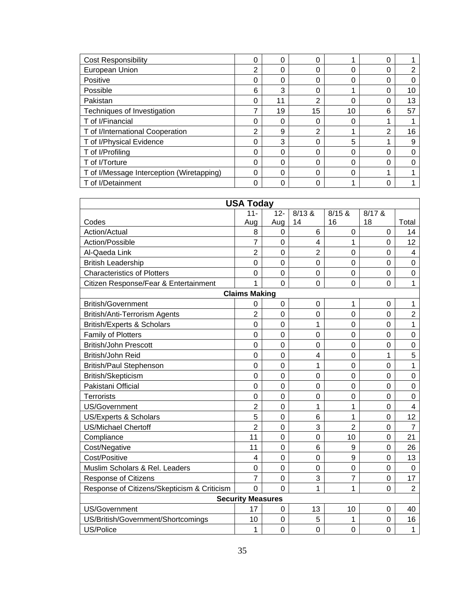| <b>Cost Responsibility</b>                | 0 | 0  | 0              |    | 0 |    |
|-------------------------------------------|---|----|----------------|----|---|----|
| European Union                            | 2 | 0  | 0              | 0  | 0 | 2  |
| Positive                                  | 0 | 0  | 0              | 0  | 0 |    |
| Possible                                  | 6 | 3  | 0              |    | 0 | 10 |
| Pakistan                                  | 0 | 11 | $\overline{2}$ | 0  | 0 | 13 |
| Techniques of Investigation               | 7 | 19 | 15             | 10 | 6 | 57 |
| T of I/Financial                          | 0 | 0  | 0              | 0  |   |    |
| T of I/International Cooperation          | 2 | 9  | 2              |    | 2 | 16 |
| T of I/Physical Evidence                  | 0 | 3  | 0              | 5  |   | 9  |
| T of I/Profiling                          | 0 | 0  | 0              | 0  | 0 |    |
| T of I/Torture                            | 0 | 0  | 0              | 0  | 0 |    |
| T of I/Message Interception (Wiretapping) | 0 | 0  | 0              | 0  |   |    |
| T of I/Detainment                         | 0 | 0  | 0              |    | 0 |    |

| <b>USA Today</b>                            |                          |                |                  |                |                |                |  |
|---------------------------------------------|--------------------------|----------------|------------------|----------------|----------------|----------------|--|
|                                             | $11 -$                   | $12 -$         | 8/13 &           | 8/15 &         | 8/17 &         |                |  |
| Codes                                       | Aug                      | Aug            | 14               | 16             | 18             | Total          |  |
| Action/Actual                               | 8                        | 0              | 6                | 0              | $\mathbf 0$    | 14             |  |
| Action/Possible                             | $\overline{7}$           | $\overline{0}$ | 4                | 1              | 0              | 12             |  |
| Al-Qaeda Link                               | $\overline{2}$           | $\overline{0}$ | $\overline{2}$   | 0              | $\mathbf 0$    | $\overline{4}$ |  |
| <b>British Leadership</b>                   | $\overline{0}$           | $\overline{0}$ | $\mathbf 0$      | 0              | $\mathbf 0$    | $\overline{0}$ |  |
| <b>Characteristics of Plotters</b>          | $\overline{0}$           | $\overline{0}$ | $\mathbf 0$      | $\overline{0}$ | $\mathbf 0$    | $\mathbf 0$    |  |
| Citizen Response/Fear & Entertainment       | 1                        | $\overline{0}$ | $\mathbf 0$      | $\mathbf 0$    | $\mathbf 0$    | 1              |  |
|                                             | <b>Claims Making</b>     |                |                  |                |                |                |  |
| <b>British/Government</b>                   | 0                        | $\mathbf 0$    | $\boldsymbol{0}$ | 1              | $\mathbf 0$    | 1              |  |
| British/Anti-Terrorism Agents               | $\overline{2}$           | $\overline{0}$ | $\mathbf 0$      | 0              | $\mathbf 0$    | $\overline{2}$ |  |
| <b>British/Experts &amp; Scholars</b>       | $\overline{0}$           | $\mathbf 0$    | 1                | 0              | $\mathbf 0$    | $\mathbf 1$    |  |
| Family of Plotters                          | $\mathbf 0$              | $\mathbf 0$    | $\mathbf 0$      | 0              | $\mathbf 0$    | $\mathbf 0$    |  |
| <b>British/John Prescott</b>                | $\mathbf 0$              | $\overline{0}$ | $\mathbf 0$      | 0              | $\mathbf 0$    | $\mathbf 0$    |  |
| British/John Reid                           | $\mathbf 0$              | $\overline{0}$ | 4                | $\overline{0}$ | 1              | 5              |  |
| <b>British/Paul Stephenson</b>              | $\mathbf 0$              | $\overline{0}$ | 1                | $\mathbf 0$    | $\mathbf 0$    | $\mathbf 1$    |  |
| British/Skepticism                          | $\mathbf 0$              | $\overline{0}$ | $\mathbf 0$      | 0              | 0              | $\mathbf 0$    |  |
| Pakistani Official                          | $\overline{0}$           | $\overline{0}$ | $\mathbf 0$      | 0              | 0              | $\mathbf 0$    |  |
| <b>Terrorists</b>                           | $\mathbf 0$              | $\overline{0}$ | $\overline{0}$   | 0              | $\overline{0}$ | $\overline{0}$ |  |
| <b>US/Government</b>                        | $\overline{2}$           | $\overline{0}$ | 1                | $\overline{1}$ | $\mathbf 0$    | $\overline{4}$ |  |
| US/Experts & Scholars                       | 5                        | $\mathbf 0$    | 6                | 1              | 0              | 12             |  |
| <b>US/Michael Chertoff</b>                  | $\overline{2}$           | $\overline{0}$ | 3                | $\overline{2}$ | 0              | $\overline{7}$ |  |
| Compliance                                  | 11                       | $\overline{0}$ | $\mathbf 0$      | 10             | $\mathbf 0$    | 21             |  |
| Cost/Negative                               | 11                       | $\overline{0}$ | 6                | 9              | $\overline{0}$ | 26             |  |
| Cost/Positive                               | $\overline{4}$           | $\mathbf 0$    | $\mathbf 0$      | 9              | 0              | 13             |  |
| Muslim Scholars & Rel. Leaders              | $\mathbf 0$              | $\mathbf 0$    | $\mathbf 0$      | 0              | $\mathbf 0$    | $\mathbf 0$    |  |
| <b>Response of Citizens</b>                 | $\overline{7}$           | $\mathbf 0$    | 3                | $\overline{7}$ | $\mathbf 0$    | 17             |  |
| Response of Citizens/Skepticism & Criticism | $\overline{0}$           | $\overline{0}$ | $\overline{1}$   | $\overline{1}$ | 0              | $\overline{2}$ |  |
|                                             | <b>Security Measures</b> |                |                  |                |                |                |  |
| US/Government                               | 17                       | 0              | 13               | 10             | 0              | 40             |  |
| US/British/Government/Shortcomings          | 10                       | $\overline{0}$ | 5                | 1              | $\mathbf 0$    | 16             |  |
| US/Police                                   | 1                        | 0              | $\overline{0}$   | $\overline{0}$ | $\overline{0}$ | $\mathbf{1}$   |  |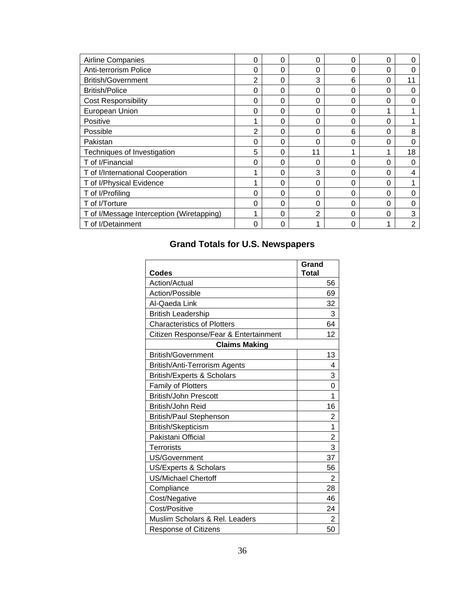| Airline Companies                         | 0 | 0 | 0        | 0 | 0 | $\Omega$ |
|-------------------------------------------|---|---|----------|---|---|----------|
| Anti-terrorism Police                     | 0 | 0 | 0        | 0 | 0 | 0        |
| <b>British/Government</b>                 | 2 | 0 | 3        | 6 | 0 | 11       |
| <b>British/Police</b>                     | 0 | 0 | $\Omega$ | 0 | 0 | 0        |
| <b>Cost Responsibility</b>                | 0 | 0 | 0        | 0 | 0 | 0        |
| European Union                            | 0 | 0 | 0        | 0 |   |          |
| Positive                                  |   | 0 | 0        | 0 | 0 |          |
| Possible                                  | 2 | 0 | 0        | 6 | 0 | 8        |
| Pakistan                                  | 0 | 0 | $\Omega$ | 0 | 0 | 0        |
| Techniques of Investigation               | 5 | 0 | 11       | 1 |   | 18       |
| T of I/Financial                          | 0 | 0 | 0        | 0 | 0 | 0        |
| T of I/International Cooperation          | 4 | 0 | 3        | 0 | 0 | 4        |
| T of I/Physical Evidence                  |   | 0 | 0        | 0 | 0 |          |
| T of I/Profiling                          | 0 | 0 | 0        | 0 | 0 | 0        |
| T of I/Torture                            | 0 | 0 | $\Omega$ | 0 | 0 | 0        |
| T of I/Message Interception (Wiretapping) | 1 | 0 | 2        | 0 | 0 | 3        |
| T of I/Detainment                         | 0 | 0 |          | 0 |   | 2        |

# **Grand Totals for U.S. Newspapers**

| Codes                                 | Grand<br><b>Total</b> |
|---------------------------------------|-----------------------|
| Action/Actual                         | 56                    |
| Action/Possible                       | 69                    |
| Al-Qaeda Link                         | 32                    |
| <b>British Leadership</b>             | 3                     |
| <b>Characteristics of Plotters</b>    | 64                    |
| Citizen Response/Fear & Entertainment | 12                    |
| <b>Claims Making</b>                  |                       |
| <b>British/Government</b>             | 13                    |
| British/Anti-Terrorism Agents         | 4                     |
| <b>British/Experts &amp; Scholars</b> | 3                     |
| <b>Family of Plotters</b>             | 0                     |
| <b>British/John Prescott</b>          | 1                     |
| British/John Reid                     | 16                    |
| British/Paul Stephenson               | 2                     |
| British/Skepticism                    | 1                     |
| Pakistani Official                    | 2                     |
| <b>Terrorists</b>                     | 3                     |
| <b>US/Government</b>                  | 37                    |
| <b>US/Experts &amp; Scholars</b>      | 56                    |
| <b>US/Michael Chertoff</b>            | 2                     |
| Compliance                            | 28                    |
| Cost/Negative                         | 46                    |
| Cost/Positive                         | 24                    |
| Muslim Scholars & Rel. Leaders        | $\overline{2}$        |
| <b>Response of Citizens</b>           | 50                    |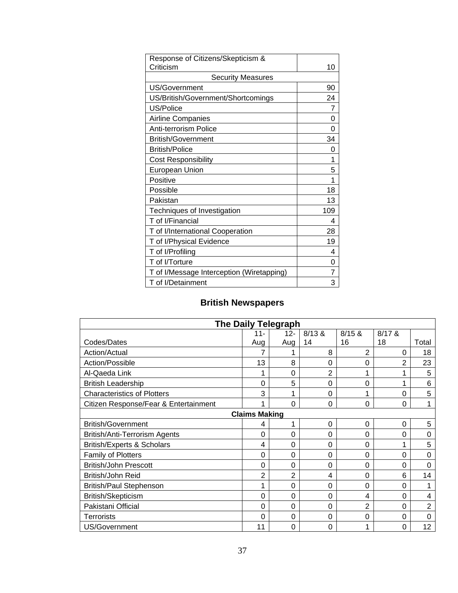| Response of Citizens/Skepticism &         |     |
|-------------------------------------------|-----|
| Criticism                                 | 10  |
| <b>Security Measures</b>                  |     |
| US/Government                             | 90  |
| US/British/Government/Shortcomings        | 24  |
| US/Police                                 | 7   |
| <b>Airline Companies</b>                  | ი   |
| <b>Anti-terrorism Police</b>              | 0   |
| <b>British/Government</b>                 | 34  |
| <b>British/Police</b>                     | 0   |
| <b>Cost Responsibility</b>                | 1   |
| <b>European Union</b>                     | 5   |
| Positive                                  | 1   |
| Possible                                  | 18  |
| Pakistan                                  | 13  |
| Techniques of Investigation               | 109 |
| T of I/Financial                          | 4   |
| T of I/International Cooperation          | 28  |
| T of I/Physical Evidence                  | 19  |
| T of I/Profiling                          | 4   |
| T of I/Torture                            | 0   |
| T of I/Message Interception (Wiretapping) | 7   |
| T of I/Detainment                         | 3   |

# **British Newspapers**

|                                       | <b>The Daily Telegraph</b> |        |                |                |          |                |  |  |  |
|---------------------------------------|----------------------------|--------|----------------|----------------|----------|----------------|--|--|--|
|                                       | $11 -$                     | $12 -$ | 8/13 &         | 8/15 &         | $8/17$ & |                |  |  |  |
| Codes/Dates                           | Aug                        | Aug    | 14             | 16             | 18       | Total          |  |  |  |
| Action/Actual                         | 7                          |        | 8              | $\overline{2}$ | 0        | 18             |  |  |  |
| Action/Possible                       | 13                         | 8      | 0              | 0              | 2        | 23             |  |  |  |
| Al-Qaeda Link                         | 1                          | 0      | $\overline{2}$ | 1              | 1        | 5              |  |  |  |
| <b>British Leadership</b>             | 0                          | 5      | 0              | 0              | 1        | 6              |  |  |  |
| <b>Characteristics of Plotters</b>    | 3                          |        | 0              | 1              | 0        | 5              |  |  |  |
| Citizen Response/Fear & Entertainment | 1                          | 0      | 0              | 0              | $\Omega$ | 1              |  |  |  |
|                                       | <b>Claims Making</b>       |        |                |                |          |                |  |  |  |
| <b>British/Government</b>             | 4                          |        | 0              | 0              | 0        | 5              |  |  |  |
| British/Anti-Terrorism Agents         | 0                          | 0      | 0              | 0              | $\Omega$ | 0              |  |  |  |
| <b>British/Experts &amp; Scholars</b> | 4                          | 0      | 0              | 0              | 1        | 5              |  |  |  |
| Family of Plotters                    | 0                          | 0      | 0              | 0              | $\Omega$ | 0              |  |  |  |
| <b>British/John Prescott</b>          | 0                          | 0      | 0              | 0              | $\Omega$ | 0              |  |  |  |
| British/John Reid                     | $\overline{2}$             | 2      | 4              | 0              | 6        | 14             |  |  |  |
| <b>British/Paul Stephenson</b>        | 1                          | 0      | $\Omega$       | 0              | $\Omega$ | 1              |  |  |  |
| British/Skepticism                    | 0                          | 0      | 0              | 4              | $\Omega$ | 4              |  |  |  |
| Pakistani Official                    | 0                          | 0      | 0              | $\overline{2}$ | 0        | $\overline{2}$ |  |  |  |
| <b>Terrorists</b>                     | 0                          | 0      | 0              | 0              | $\Omega$ | 0              |  |  |  |
| US/Government                         | 11                         | 0      | 0              | 1              | 0        | 12             |  |  |  |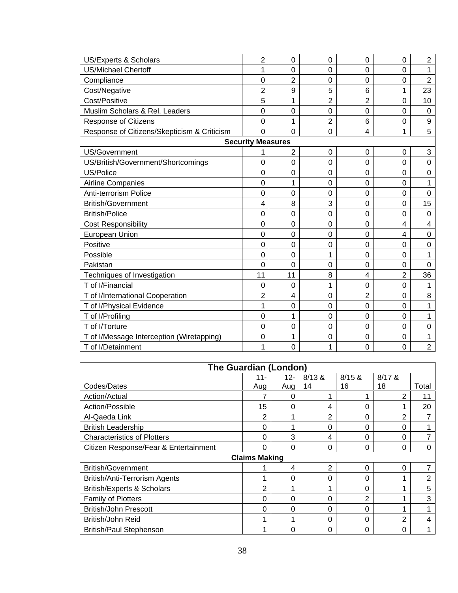| US/Experts & Scholars                       | $\overline{2}$ | $\mathbf 0$    | 0              | 0              | 0              | $\overline{2}$ |  |  |  |  |  |
|---------------------------------------------|----------------|----------------|----------------|----------------|----------------|----------------|--|--|--|--|--|
| <b>US/Michael Chertoff</b>                  | 1              | $\overline{0}$ | 0              | 0              | 0              |                |  |  |  |  |  |
| Compliance                                  | 0              | $\overline{2}$ | 0              | 0              | 0              | $\overline{c}$ |  |  |  |  |  |
| Cost/Negative                               | 2              | 9              | 5              | 6              | 1              | 23             |  |  |  |  |  |
| Cost/Positive                               | 5              | 1              | $\overline{2}$ | $\overline{2}$ | $\mathbf 0$    | 10             |  |  |  |  |  |
| Muslim Scholars & Rel. Leaders              | $\overline{0}$ | 0              | 0              | 0              | $\overline{0}$ | $\mathbf 0$    |  |  |  |  |  |
| <b>Response of Citizens</b>                 | 0              | 1              | $\overline{2}$ | 6              | $\mathbf 0$    | 9              |  |  |  |  |  |
| Response of Citizens/Skepticism & Criticism | $\Omega$       | $\overline{0}$ | 0              | 4              | 1              | 5              |  |  |  |  |  |
| <b>Security Measures</b>                    |                |                |                |                |                |                |  |  |  |  |  |
| US/Government                               |                | $\overline{2}$ | $\mathbf 0$    | 0              | 0              | 3              |  |  |  |  |  |
| US/British/Government/Shortcomings          | 0              | 0              | 0              | 0              | 0              | $\mathsf 0$    |  |  |  |  |  |
| US/Police                                   | 0              | 0              | 0              | 0              | 0              | $\mathbf 0$    |  |  |  |  |  |
| Airline Companies                           | 0              | 1              | 0              | 0              | 0              | 1              |  |  |  |  |  |
| Anti-terrorism Police                       | 0              | 0              | 0              | 0              | 0              | 0              |  |  |  |  |  |
| <b>British/Government</b>                   | 4              | 8              | 3              | 0              | 0              | 15             |  |  |  |  |  |
| <b>British/Police</b>                       | 0              | 0              | 0              | 0              | 0              | 0              |  |  |  |  |  |
| <b>Cost Responsibility</b>                  | 0              | 0              | 0              | 0              | 4              | 4              |  |  |  |  |  |
| European Union                              | 0              | $\mathbf 0$    | 0              | 0              | 4              | 0              |  |  |  |  |  |
| Positive                                    | 0              | 0              | 0              | 0              | $\mathbf 0$    | $\mathsf 0$    |  |  |  |  |  |
| Possible                                    | 0              | 0              | 1              | 0              | 0              | 1              |  |  |  |  |  |
| Pakistan                                    | 0              | 0              | 0              | 0              | $\mathbf 0$    | 0              |  |  |  |  |  |
| Techniques of Investigation                 | 11             | 11             | 8              | 4              | $\overline{2}$ | 36             |  |  |  |  |  |
| T of I/Financial                            | 0              | $\mathbf 0$    | 1              | 0              | 0              | 1              |  |  |  |  |  |
| T of I/International Cooperation            | 2              | 4              | 0              | 2              | 0              | 8              |  |  |  |  |  |
| T of I/Physical Evidence                    | 1              | 0              | 0              | 0              | 0              | 1              |  |  |  |  |  |
| T of I/Profiling                            | $\mathbf 0$    | 1              | 0              | 0              | 0              | 1              |  |  |  |  |  |
| T of I/Torture                              | 0              | 0              | 0              | 0              | 0              | 0              |  |  |  |  |  |
| T of I/Message Interception (Wiretapping)   | 0              | 1              | 0              | 0              | 0              | 1              |  |  |  |  |  |
| T of I/Detainment                           | 1              | 0              | 1              | 0              | 0              | $\overline{2}$ |  |  |  |  |  |

| <b>The Guardian (London)</b>          |                      |     |        |        |                |                |  |  |
|---------------------------------------|----------------------|-----|--------|--------|----------------|----------------|--|--|
|                                       | $11 -$               | 12- | 8/13 & | 8/15 & | $8/17$ &       |                |  |  |
| Codes/Dates                           | Aug                  | Aug | 14     | 16     | 18             | Total          |  |  |
| Action/Actual                         | 7                    | O   |        | 4      | 2              | 11             |  |  |
| Action/Possible                       | 15                   | 0   | 4      | 0      | 1              | 20             |  |  |
| Al-Qaeda Link                         | 2                    |     | 2      | 0      | $\overline{2}$ |                |  |  |
| <b>British Leadership</b>             | 0                    |     | 0      | 0      | 0              |                |  |  |
| <b>Characteristics of Plotters</b>    | 0                    | 3   | 4      | 0      | 0              | 7              |  |  |
| Citizen Response/Fear & Entertainment | 0                    | 0   | 0      | 0      | 0              | 0              |  |  |
|                                       | <b>Claims Making</b> |     |        |        |                |                |  |  |
| <b>British/Government</b>             |                      | 4   | 2      | 0      | 0              |                |  |  |
| British/Anti-Terrorism Agents         |                      | 0   | 0      | 0      |                | $\overline{2}$ |  |  |
| <b>British/Experts &amp; Scholars</b> | 2                    |     |        | 0      | 4              | 5              |  |  |
| Family of Plotters                    | 0                    | 0   | 0      | 2      | 1              | 3              |  |  |
| <b>British/John Prescott</b>          | 0                    | 0   | 0      | 0      |                |                |  |  |
| British/John Reid                     |                      |     | 0      | 0      | 2              | 4              |  |  |
| <b>British/Paul Stephenson</b>        |                      | 0   | 0      | 0      | 0              |                |  |  |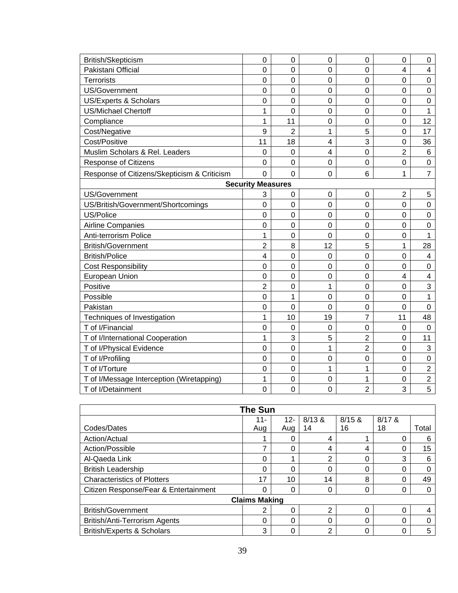| British/Skepticism                          | 0              | 0              | 0           | 0              | 0              | $\mathbf 0$    |
|---------------------------------------------|----------------|----------------|-------------|----------------|----------------|----------------|
| Pakistani Official                          | $\overline{0}$ | $\overline{0}$ | 0           | 0              | 4              | 4              |
| <b>Terrorists</b>                           | $\overline{0}$ | $\overline{0}$ | 0           | $\overline{0}$ | $\overline{0}$ | $\overline{0}$ |
| <b>US/Government</b>                        | $\overline{0}$ | $\mathbf 0$    | 0           | $\mathbf 0$    | 0              | 0              |
| US/Experts & Scholars                       | $\overline{0}$ | $\overline{0}$ | 0           | $\overline{0}$ | 0              | $\mathbf 0$    |
| <b>US/Michael Chertoff</b>                  | 1              | $\overline{0}$ | 0           | 0              | 0              | 1              |
| Compliance                                  | 1              | 11             | 0           | $\mathbf 0$    | 0              | 12             |
| Cost/Negative                               | 9              | $\overline{2}$ | 1           | 5              | 0              | 17             |
| Cost/Positive                               | 11             | 18             | 4           | 3              | $\mathbf 0$    | 36             |
| Muslim Scholars & Rel. Leaders              | $\mathbf 0$    | $\mathbf 0$    | 4           | $\mathbf 0$    | $\overline{2}$ | $\,6$          |
| Response of Citizens                        | $\Omega$       | $\overline{0}$ | 0           | $\overline{0}$ | $\overline{0}$ | $\mathbf 0$    |
| Response of Citizens/Skepticism & Criticism | $\Omega$       | $\mathbf 0$    | 0           | 6              | 1              | $\overline{7}$ |
| <b>Security Measures</b>                    |                |                |             |                |                |                |
| US/Government                               | 3              | 0              | $\mathbf 0$ | $\overline{0}$ | $\overline{2}$ | 5              |
| US/British/Government/Shortcomings          | $\overline{0}$ | $\overline{0}$ | $\mathbf 0$ | $\mathbf 0$    | $\mathbf 0$    | $\mathbf 0$    |
| US/Police                                   | $\overline{0}$ | $\mathbf 0$    | 0           | $\mathbf 0$    | 0              | $\pmb{0}$      |
| <b>Airline Companies</b>                    | $\overline{0}$ | $\overline{0}$ | 0           | $\mathbf 0$    | 0              | $\mathbf 0$    |
| Anti-terrorism Police                       | 1              | $\mathbf 0$    | 0           | $\mathbf 0$    | $\mathbf 0$    | 1              |
| <b>British/Government</b>                   | $\overline{2}$ | 8              | 12          | 5              | 1              | 28             |
| <b>British/Police</b>                       | $\overline{4}$ | $\mathbf 0$    | $\mathbf 0$ | $\mathbf 0$    | $\mathbf 0$    | $\overline{4}$ |
| <b>Cost Responsibility</b>                  | $\mathbf 0$    | $\mathbf 0$    | 0           | $\pmb{0}$      | 0              | $\mathbf 0$    |
| <b>European Union</b>                       | $\mathbf 0$    | $\overline{0}$ | 0           | $\overline{0}$ | $\overline{4}$ | $\overline{4}$ |
| Positive                                    | $\overline{2}$ | $\mathbf 0$    | 1           | $\mathbf 0$    | 0              | 3              |
| Possible                                    | $\overline{0}$ | 1              | $\mathbf 0$ | 0              | 0              | 1              |
| Pakistan                                    | $\mathbf 0$    | $\overline{0}$ | 0           | $\mathbf 0$    | $\mathbf 0$    | $\mathbf 0$    |
| Techniques of Investigation                 | 1              | 10             | 19          | 7              | 11             | 48             |
| T of I/Financial                            | $\mathbf 0$    | $\mathbf 0$    | $\mathbf 0$ | $\pmb{0}$      | 0              | $\pmb{0}$      |
| T of I/International Cooperation            | 1              | 3              | 5           | $\overline{2}$ | 0              | 11             |
| T of I/Physical Evidence                    | $\mathbf 0$    | $\mathbf 0$    | $\mathbf 1$ | $\overline{2}$ | $\mathsf 0$    | $\mathfrak{S}$ |
| T of I/Profiling                            | $\overline{0}$ | $\overline{0}$ | 0           | $\overline{0}$ | $\mathbf 0$    | $\mathbf 0$    |
| T of I/Torture                              | $\mathbf 0$    | $\mathbf 0$    | 1           | 1              | 0              | $\overline{2}$ |
| T of I/Message Interception (Wiretapping)   | 1              | $\mathbf 0$    | 0           | 1              | 0              | $\overline{2}$ |
| T of I/Detainment                           | $\mathbf 0$    | $\overline{0}$ | 0           | $\overline{2}$ | 3              | 5              |

| <b>The Sun</b>                        |          |          |                |          |          |       |
|---------------------------------------|----------|----------|----------------|----------|----------|-------|
|                                       | 11-      | $12 -$   | 8/13 &         | 8/15 &   | $8/17$ & |       |
| Codes/Dates                           | Aug      | Aug      | 14             | 16       | 18       | Total |
| Action/Actual                         |          |          | 4              |          | 0        | 6     |
| Action/Possible                       |          |          | 4              | 4        | 0        | 15    |
| Al-Qaeda Link                         | 0        |          | $\overline{2}$ | 0        | 3        | 6     |
| <b>British Leadership</b>             | ∩        |          | 0              | $\Omega$ | 0        |       |
| <b>Characteristics of Plotters</b>    | 17       | 10       | 14             | 8        | 0        | 49    |
| Citizen Response/Fear & Entertainment | ∩        | $\Omega$ | 0              | 0        | 0        |       |
| <b>Claims Making</b>                  |          |          |                |          |          |       |
| <b>British/Government</b>             |          |          | ົ              | $\Omega$ | 0        |       |
| British/Anti-Terrorism Agents         | $\Omega$ | 0        | 0              | 0        | 0        |       |
| <b>British/Experts &amp; Scholars</b> | 3        |          | ⌒              | O        | 0        | 5     |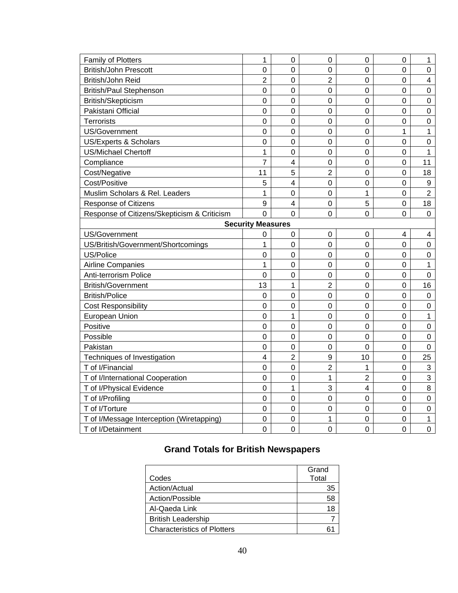| <b>Family of Plotters</b><br>$\mathbf 0$<br>$\mathbf 0$<br>0<br>0<br>1<br>1<br><b>British/John Prescott</b><br>$\mathbf 0$<br>$\mathbf 0$<br>0<br>$\pmb{0}$<br>0<br>0<br>$\overline{2}$<br>$\overline{2}$<br>British/John Reid<br>$\mathbf 0$<br>$\pmb{0}$<br>0<br>$\overline{\mathbf{4}}$<br><b>British/Paul Stephenson</b><br>$\mathbf 0$<br>$\mathbf 0$<br>$\mathbf 0$<br>$\pmb{0}$<br>0<br>$\pmb{0}$<br>$\mathbf 0$<br>British/Skepticism<br>$\mathbf 0$<br>$\mathbf 0$<br>$\mathbf 0$<br>0<br>$\mathbf 0$<br>Pakistani Official<br>$\boldsymbol{0}$<br>$\mathbf 0$<br>$\mathbf 0$<br>$\pmb{0}$<br>$\pmb{0}$<br>0<br>Terrorists<br>$\mathbf 0$<br>$\mathbf 0$<br>$\overline{0}$<br>$\pmb{0}$<br>0<br>$\pmb{0}$<br>US/Government<br>$\mathbf 0$<br>1<br>$\mathbf 0$<br>$\mathbf 0$<br>$\mathbf 0$<br>1<br>US/Experts & Scholars<br>$\boldsymbol{0}$<br>$\pmb{0}$<br>$\mathbf 0$<br>$\pmb{0}$<br>$\pmb{0}$<br>$\pmb{0}$<br><b>US/Michael Chertoff</b><br>1<br>$\mathbf 0$<br>$\overline{0}$<br>$\pmb{0}$<br>$\pmb{0}$<br>$\mathbf{1}$<br>Compliance<br>7<br>$\overline{4}$<br>$\mathbf 0$<br>$\mathbf 0$<br>$\mathbf 0$<br>11<br>5<br>$\overline{2}$<br>Cost/Negative<br>11<br>$\overline{0}$<br>18<br>0<br>Cost/Positive<br>5<br>$\overline{\mathbf{4}}$<br>$\mathbf 0$<br>$\mathbf 0$<br>$\mathbf 0$<br>$\boldsymbol{9}$<br>Muslim Scholars & Rel. Leaders<br>$\overline{2}$<br>1<br>$\Omega$<br>$\mathbf 0$<br>1<br>0<br>9<br>$\overline{\mathbf{4}}$<br>5<br>Response of Citizens<br>$\mathbf 0$<br>18<br>0<br>$\overline{0}$<br>Response of Citizens/Skepticism & Criticism<br>$\Omega$<br>0<br>0<br>0<br>0<br><b>Security Measures</b><br>US/Government<br>0<br>$\boldsymbol{0}$<br>$\boldsymbol{0}$<br>$\pmb{0}$<br>4<br>4<br>US/British/Government/Shortcomings<br>$\Omega$<br>$\mathbf 0$<br>1<br>0<br>0<br>0<br>US/Police<br>$\overline{0}$<br>$\mathbf 0$<br>$\mathbf 0$<br>$\mathbf 0$<br>0<br>$\mathbf 0$<br><b>Airline Companies</b><br>$\mathbf 0$<br>$\mathbf 0$<br>1<br>$\pmb{0}$<br>0<br>1<br>$\mathbf 0$<br>Anti-terrorism Police<br>$\Omega$<br>$\boldsymbol{0}$<br>$\mathbf 0$<br>$\pmb{0}$<br>$\pmb{0}$ |
|---------------------------------------------------------------------------------------------------------------------------------------------------------------------------------------------------------------------------------------------------------------------------------------------------------------------------------------------------------------------------------------------------------------------------------------------------------------------------------------------------------------------------------------------------------------------------------------------------------------------------------------------------------------------------------------------------------------------------------------------------------------------------------------------------------------------------------------------------------------------------------------------------------------------------------------------------------------------------------------------------------------------------------------------------------------------------------------------------------------------------------------------------------------------------------------------------------------------------------------------------------------------------------------------------------------------------------------------------------------------------------------------------------------------------------------------------------------------------------------------------------------------------------------------------------------------------------------------------------------------------------------------------------------------------------------------------------------------------------------------------------------------------------------------------------------------------------------------------------------------------------------------------------------------------------------------------------------------------------------------------------------------------------------------------------------------------------------------------------------------------------|
|                                                                                                                                                                                                                                                                                                                                                                                                                                                                                                                                                                                                                                                                                                                                                                                                                                                                                                                                                                                                                                                                                                                                                                                                                                                                                                                                                                                                                                                                                                                                                                                                                                                                                                                                                                                                                                                                                                                                                                                                                                                                                                                                 |
|                                                                                                                                                                                                                                                                                                                                                                                                                                                                                                                                                                                                                                                                                                                                                                                                                                                                                                                                                                                                                                                                                                                                                                                                                                                                                                                                                                                                                                                                                                                                                                                                                                                                                                                                                                                                                                                                                                                                                                                                                                                                                                                                 |
|                                                                                                                                                                                                                                                                                                                                                                                                                                                                                                                                                                                                                                                                                                                                                                                                                                                                                                                                                                                                                                                                                                                                                                                                                                                                                                                                                                                                                                                                                                                                                                                                                                                                                                                                                                                                                                                                                                                                                                                                                                                                                                                                 |
|                                                                                                                                                                                                                                                                                                                                                                                                                                                                                                                                                                                                                                                                                                                                                                                                                                                                                                                                                                                                                                                                                                                                                                                                                                                                                                                                                                                                                                                                                                                                                                                                                                                                                                                                                                                                                                                                                                                                                                                                                                                                                                                                 |
|                                                                                                                                                                                                                                                                                                                                                                                                                                                                                                                                                                                                                                                                                                                                                                                                                                                                                                                                                                                                                                                                                                                                                                                                                                                                                                                                                                                                                                                                                                                                                                                                                                                                                                                                                                                                                                                                                                                                                                                                                                                                                                                                 |
|                                                                                                                                                                                                                                                                                                                                                                                                                                                                                                                                                                                                                                                                                                                                                                                                                                                                                                                                                                                                                                                                                                                                                                                                                                                                                                                                                                                                                                                                                                                                                                                                                                                                                                                                                                                                                                                                                                                                                                                                                                                                                                                                 |
|                                                                                                                                                                                                                                                                                                                                                                                                                                                                                                                                                                                                                                                                                                                                                                                                                                                                                                                                                                                                                                                                                                                                                                                                                                                                                                                                                                                                                                                                                                                                                                                                                                                                                                                                                                                                                                                                                                                                                                                                                                                                                                                                 |
|                                                                                                                                                                                                                                                                                                                                                                                                                                                                                                                                                                                                                                                                                                                                                                                                                                                                                                                                                                                                                                                                                                                                                                                                                                                                                                                                                                                                                                                                                                                                                                                                                                                                                                                                                                                                                                                                                                                                                                                                                                                                                                                                 |
|                                                                                                                                                                                                                                                                                                                                                                                                                                                                                                                                                                                                                                                                                                                                                                                                                                                                                                                                                                                                                                                                                                                                                                                                                                                                                                                                                                                                                                                                                                                                                                                                                                                                                                                                                                                                                                                                                                                                                                                                                                                                                                                                 |
|                                                                                                                                                                                                                                                                                                                                                                                                                                                                                                                                                                                                                                                                                                                                                                                                                                                                                                                                                                                                                                                                                                                                                                                                                                                                                                                                                                                                                                                                                                                                                                                                                                                                                                                                                                                                                                                                                                                                                                                                                                                                                                                                 |
|                                                                                                                                                                                                                                                                                                                                                                                                                                                                                                                                                                                                                                                                                                                                                                                                                                                                                                                                                                                                                                                                                                                                                                                                                                                                                                                                                                                                                                                                                                                                                                                                                                                                                                                                                                                                                                                                                                                                                                                                                                                                                                                                 |
|                                                                                                                                                                                                                                                                                                                                                                                                                                                                                                                                                                                                                                                                                                                                                                                                                                                                                                                                                                                                                                                                                                                                                                                                                                                                                                                                                                                                                                                                                                                                                                                                                                                                                                                                                                                                                                                                                                                                                                                                                                                                                                                                 |
|                                                                                                                                                                                                                                                                                                                                                                                                                                                                                                                                                                                                                                                                                                                                                                                                                                                                                                                                                                                                                                                                                                                                                                                                                                                                                                                                                                                                                                                                                                                                                                                                                                                                                                                                                                                                                                                                                                                                                                                                                                                                                                                                 |
|                                                                                                                                                                                                                                                                                                                                                                                                                                                                                                                                                                                                                                                                                                                                                                                                                                                                                                                                                                                                                                                                                                                                                                                                                                                                                                                                                                                                                                                                                                                                                                                                                                                                                                                                                                                                                                                                                                                                                                                                                                                                                                                                 |
|                                                                                                                                                                                                                                                                                                                                                                                                                                                                                                                                                                                                                                                                                                                                                                                                                                                                                                                                                                                                                                                                                                                                                                                                                                                                                                                                                                                                                                                                                                                                                                                                                                                                                                                                                                                                                                                                                                                                                                                                                                                                                                                                 |
|                                                                                                                                                                                                                                                                                                                                                                                                                                                                                                                                                                                                                                                                                                                                                                                                                                                                                                                                                                                                                                                                                                                                                                                                                                                                                                                                                                                                                                                                                                                                                                                                                                                                                                                                                                                                                                                                                                                                                                                                                                                                                                                                 |
|                                                                                                                                                                                                                                                                                                                                                                                                                                                                                                                                                                                                                                                                                                                                                                                                                                                                                                                                                                                                                                                                                                                                                                                                                                                                                                                                                                                                                                                                                                                                                                                                                                                                                                                                                                                                                                                                                                                                                                                                                                                                                                                                 |
|                                                                                                                                                                                                                                                                                                                                                                                                                                                                                                                                                                                                                                                                                                                                                                                                                                                                                                                                                                                                                                                                                                                                                                                                                                                                                                                                                                                                                                                                                                                                                                                                                                                                                                                                                                                                                                                                                                                                                                                                                                                                                                                                 |
|                                                                                                                                                                                                                                                                                                                                                                                                                                                                                                                                                                                                                                                                                                                                                                                                                                                                                                                                                                                                                                                                                                                                                                                                                                                                                                                                                                                                                                                                                                                                                                                                                                                                                                                                                                                                                                                                                                                                                                                                                                                                                                                                 |
|                                                                                                                                                                                                                                                                                                                                                                                                                                                                                                                                                                                                                                                                                                                                                                                                                                                                                                                                                                                                                                                                                                                                                                                                                                                                                                                                                                                                                                                                                                                                                                                                                                                                                                                                                                                                                                                                                                                                                                                                                                                                                                                                 |
|                                                                                                                                                                                                                                                                                                                                                                                                                                                                                                                                                                                                                                                                                                                                                                                                                                                                                                                                                                                                                                                                                                                                                                                                                                                                                                                                                                                                                                                                                                                                                                                                                                                                                                                                                                                                                                                                                                                                                                                                                                                                                                                                 |
|                                                                                                                                                                                                                                                                                                                                                                                                                                                                                                                                                                                                                                                                                                                                                                                                                                                                                                                                                                                                                                                                                                                                                                                                                                                                                                                                                                                                                                                                                                                                                                                                                                                                                                                                                                                                                                                                                                                                                                                                                                                                                                                                 |
| $\overline{2}$<br><b>British/Government</b><br>13<br>16<br>1<br>$\mathbf 0$<br>$\mathbf 0$                                                                                                                                                                                                                                                                                                                                                                                                                                                                                                                                                                                                                                                                                                                                                                                                                                                                                                                                                                                                                                                                                                                                                                                                                                                                                                                                                                                                                                                                                                                                                                                                                                                                                                                                                                                                                                                                                                                                                                                                                                      |
| <b>British/Police</b><br>$\boldsymbol{0}$<br>$\mathbf 0$<br>$\mathbf 0$<br>$\mathsf 0$<br>$\pmb{0}$<br>$\pmb{0}$                                                                                                                                                                                                                                                                                                                                                                                                                                                                                                                                                                                                                                                                                                                                                                                                                                                                                                                                                                                                                                                                                                                                                                                                                                                                                                                                                                                                                                                                                                                                                                                                                                                                                                                                                                                                                                                                                                                                                                                                                |
| $\mathbf 0$<br><b>Cost Responsibility</b><br>$\mathbf 0$<br>$\mathbf 0$<br>$\mathbf 0$<br>$\pmb{0}$<br>$\mathbf 0$                                                                                                                                                                                                                                                                                                                                                                                                                                                                                                                                                                                                                                                                                                                                                                                                                                                                                                                                                                                                                                                                                                                                                                                                                                                                                                                                                                                                                                                                                                                                                                                                                                                                                                                                                                                                                                                                                                                                                                                                              |
| European Union<br>$\mathbf 0$<br>$\mathbf{1}$<br>$\mathbf 0$<br>$\mathbf 0$<br>$\mathbf 0$<br>1                                                                                                                                                                                                                                                                                                                                                                                                                                                                                                                                                                                                                                                                                                                                                                                                                                                                                                                                                                                                                                                                                                                                                                                                                                                                                                                                                                                                                                                                                                                                                                                                                                                                                                                                                                                                                                                                                                                                                                                                                                 |
| Positive<br>$\boldsymbol{0}$<br>$\mathbf 0$<br>$\mathbf 0$<br>$\mathbf 0$<br>$\pmb{0}$<br>$\pmb{0}$                                                                                                                                                                                                                                                                                                                                                                                                                                                                                                                                                                                                                                                                                                                                                                                                                                                                                                                                                                                                                                                                                                                                                                                                                                                                                                                                                                                                                                                                                                                                                                                                                                                                                                                                                                                                                                                                                                                                                                                                                             |
| Possible<br>$\mathbf 0$<br>$\mathbf 0$<br>$\mathbf 0$<br>$\mathbf 0$<br>$\mathbf 0$<br>$\pmb{0}$                                                                                                                                                                                                                                                                                                                                                                                                                                                                                                                                                                                                                                                                                                                                                                                                                                                                                                                                                                                                                                                                                                                                                                                                                                                                                                                                                                                                                                                                                                                                                                                                                                                                                                                                                                                                                                                                                                                                                                                                                                |
| Pakistan<br>$\mathbf 0$<br>$\mathbf 0$<br>$\mathbf 0$<br>$\mathbf 0$<br>$\pmb{0}$<br>$\mathbf 0$                                                                                                                                                                                                                                                                                                                                                                                                                                                                                                                                                                                                                                                                                                                                                                                                                                                                                                                                                                                                                                                                                                                                                                                                                                                                                                                                                                                                                                                                                                                                                                                                                                                                                                                                                                                                                                                                                                                                                                                                                                |
| $\overline{\mathbf{4}}$<br>$\overline{2}$<br>9<br>Techniques of Investigation<br>10<br>$\mathbf 0$<br>25                                                                                                                                                                                                                                                                                                                                                                                                                                                                                                                                                                                                                                                                                                                                                                                                                                                                                                                                                                                                                                                                                                                                                                                                                                                                                                                                                                                                                                                                                                                                                                                                                                                                                                                                                                                                                                                                                                                                                                                                                        |
| T of I/Financial<br>$\mathbf 0$<br>$\mathbf 0$<br>$\overline{2}$<br>1<br>$\mathbf 0$<br>$\mathbf{3}$                                                                                                                                                                                                                                                                                                                                                                                                                                                                                                                                                                                                                                                                                                                                                                                                                                                                                                                                                                                                                                                                                                                                                                                                                                                                                                                                                                                                                                                                                                                                                                                                                                                                                                                                                                                                                                                                                                                                                                                                                            |
| $\overline{2}$<br>T of I/International Cooperation<br>$\boldsymbol{0}$<br>$\mathbf 0$<br>1<br>$\pmb{0}$<br>$\ensuremath{\mathsf{3}}$                                                                                                                                                                                                                                                                                                                                                                                                                                                                                                                                                                                                                                                                                                                                                                                                                                                                                                                                                                                                                                                                                                                                                                                                                                                                                                                                                                                                                                                                                                                                                                                                                                                                                                                                                                                                                                                                                                                                                                                            |
| $\mathbf{1}$<br>3<br>T of I/Physical Evidence<br>$\mathbf 0$<br>$\overline{\mathcal{A}}$<br>$\pmb{0}$<br>$\, 8$                                                                                                                                                                                                                                                                                                                                                                                                                                                                                                                                                                                                                                                                                                                                                                                                                                                                                                                                                                                                                                                                                                                                                                                                                                                                                                                                                                                                                                                                                                                                                                                                                                                                                                                                                                                                                                                                                                                                                                                                                 |
| T of I/Profiling<br>$\mathbf 0$<br>$\mathbf 0$<br>$\mathbf 0$<br>$\mathbf 0$<br>$\mathbf 0$<br>$\pmb{0}$                                                                                                                                                                                                                                                                                                                                                                                                                                                                                                                                                                                                                                                                                                                                                                                                                                                                                                                                                                                                                                                                                                                                                                                                                                                                                                                                                                                                                                                                                                                                                                                                                                                                                                                                                                                                                                                                                                                                                                                                                        |
| T of I/Torture<br>$\mathbf 0$<br>$\mathbf 0$<br>$\mathbf 0$<br>$\pmb{0}$<br>$\pmb{0}$<br>$\pmb{0}$                                                                                                                                                                                                                                                                                                                                                                                                                                                                                                                                                                                                                                                                                                                                                                                                                                                                                                                                                                                                                                                                                                                                                                                                                                                                                                                                                                                                                                                                                                                                                                                                                                                                                                                                                                                                                                                                                                                                                                                                                              |
| 1<br>T of I/Message Interception (Wiretapping)<br>$\mathbf 0$<br>$\mathbf 0$<br>$\mathbf 0$<br>$\mathbf 0$<br>1                                                                                                                                                                                                                                                                                                                                                                                                                                                                                                                                                                                                                                                                                                                                                                                                                                                                                                                                                                                                                                                                                                                                                                                                                                                                                                                                                                                                                                                                                                                                                                                                                                                                                                                                                                                                                                                                                                                                                                                                                 |
| $\overline{0}$<br>$\overline{0}$<br>$\mathbf 0$<br>$\mathbf 0$<br>T of I/Detainment<br>$\Omega$<br>0                                                                                                                                                                                                                                                                                                                                                                                                                                                                                                                                                                                                                                                                                                                                                                                                                                                                                                                                                                                                                                                                                                                                                                                                                                                                                                                                                                                                                                                                                                                                                                                                                                                                                                                                                                                                                                                                                                                                                                                                                            |

# **Grand Totals for British Newspapers**

|                                    | Grand |
|------------------------------------|-------|
| Codes                              | Total |
| Action/Actual                      | 35    |
| Action/Possible                    |       |
| Al-Qaeda Link                      | 18    |
| <b>British Leadership</b>          |       |
| <b>Characteristics of Plotters</b> |       |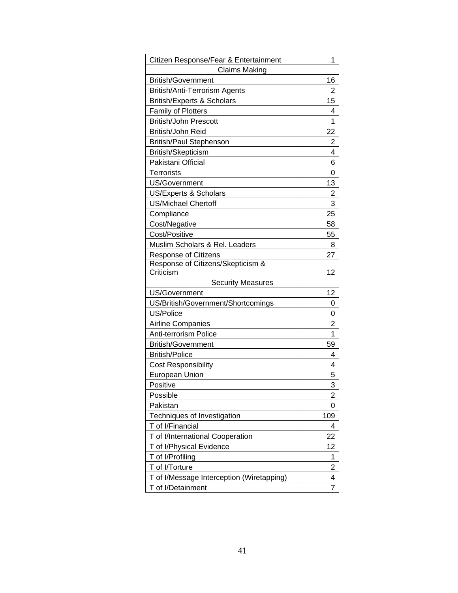| Citizen Response/Fear & Entertainment     | 1   |
|-------------------------------------------|-----|
| <b>Claims Making</b>                      |     |
| <b>British/Government</b>                 | 16  |
| <b>British/Anti-Terrorism Agents</b>      | 2   |
| <b>British/Experts &amp; Scholars</b>     | 15  |
| Family of Plotters                        | 4   |
| <b>British/John Prescott</b>              | 1   |
| British/John Reid                         | 22  |
| <b>British/Paul Stephenson</b>            | 2   |
| British/Skepticism                        | 4   |
| Pakistani Official                        | 6   |
| <b>Terrorists</b>                         | 0   |
| <b>US/Government</b>                      | 13  |
| <b>US/Experts &amp; Scholars</b>          | 2   |
| <b>US/Michael Chertoff</b>                | 3   |
| Compliance                                | 25  |
| Cost/Negative                             | 58  |
| Cost/Positive                             | 55  |
| Muslim Scholars & Rel. Leaders            | 8   |
| <b>Response of Citizens</b>               | 27  |
| Response of Citizens/Skepticism &         |     |
| Criticism                                 | 12  |
| <b>Security Measures</b>                  |     |
| US/Government                             | 12  |
| US/British/Government/Shortcomings        | 0   |
| US/Police                                 | 0   |
| <b>Airline Companies</b>                  | 2   |
| Anti-terrorism Police                     | 1   |
| <b>British/Government</b>                 | 59  |
| <b>British/Police</b>                     | 4   |
| <b>Cost Responsibility</b>                | 4   |
| European Union                            | 5   |
| Positive                                  | 3   |
| Possible                                  | 2   |
| Pakistan                                  | 0   |
| Techniques of Investigation               | 109 |
| T of I/Financial                          | 4   |
| T of I/International Cooperation          | 22  |
| T of I/Physical Evidence                  | 12  |
| T of I/Profiling                          | 1   |
| T of I/Torture                            | 2   |
| T of I/Message Interception (Wiretapping) | 4   |
| T of I/Detainment                         | 7   |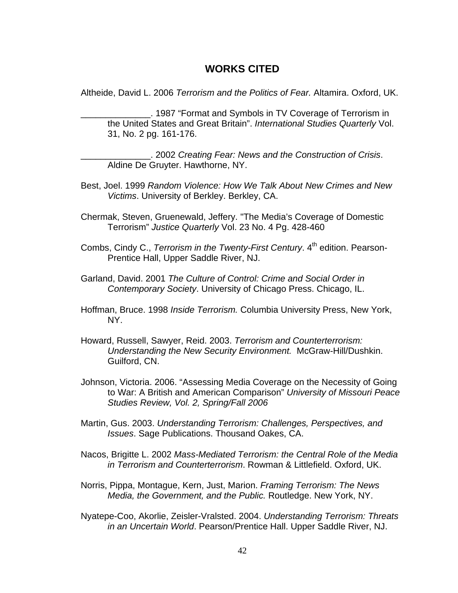### **WORKS CITED**

Altheide, David L. 2006 *Terrorism and the Politics of Fear.* Altamira. Oxford, UK.

\_\_\_\_\_\_\_\_\_\_\_\_\_\_. 1987 "Format and Symbols in TV Coverage of Terrorism in the United States and Great Britain". *International Studies Quarterly* Vol. 31, No. 2 pg. 161-176.

\_\_\_\_\_\_\_\_\_\_\_\_\_\_. 2002 *Creating Fear: News and the Construction of Crisis*. Aldine De Gruyter. Hawthorne, NY.

- Best, Joel. 1999 *Random Violence: How We Talk About New Crimes and New Victims*. University of Berkley. Berkley, CA.
- Chermak, Steven, Gruenewald, Jeffery. "The Media's Coverage of Domestic Terrorism" *Justice Quarterly* Vol. 23 No. 4 Pg. 428-460
- Combs, Cindy C., *Terrorism in the Twenty-First Century*. 4<sup>th</sup> edition. Pearson-Prentice Hall, Upper Saddle River, NJ.
- Garland, David. 2001 *The Culture of Control: Crime and Social Order in Contemporary Society*. University of Chicago Press. Chicago, IL.
- Hoffman, Bruce. 1998 *Inside Terrorism.* Columbia University Press, New York, NY.
- Howard, Russell, Sawyer, Reid. 2003. *Terrorism and Counterterrorism: Understanding the New Security Environment.* McGraw-Hill/Dushkin. Guilford, CN.
- Johnson, Victoria. 2006. "Assessing Media Coverage on the Necessity of Going to War: A British and American Comparison" *University of Missouri Peace Studies Review, Vol. 2, Spring/Fall 2006*
- Martin, Gus. 2003. *Understanding Terrorism: Challenges, Perspectives, and Issues*. Sage Publications. Thousand Oakes, CA.
- Nacos, Brigitte L. 2002 *Mass-Mediated Terrorism: the Central Role of the Media in Terrorism and Counterterrorism*. Rowman & Littlefield. Oxford, UK.
- Norris, Pippa, Montague, Kern, Just, Marion. *Framing Terrorism: The News Media, the Government, and the Public.* Routledge. New York, NY.
- Nyatepe-Coo, Akorlie, Zeisler-Vralsted. 2004. *Understanding Terrorism: Threats in an Uncertain World*. Pearson/Prentice Hall. Upper Saddle River, NJ.